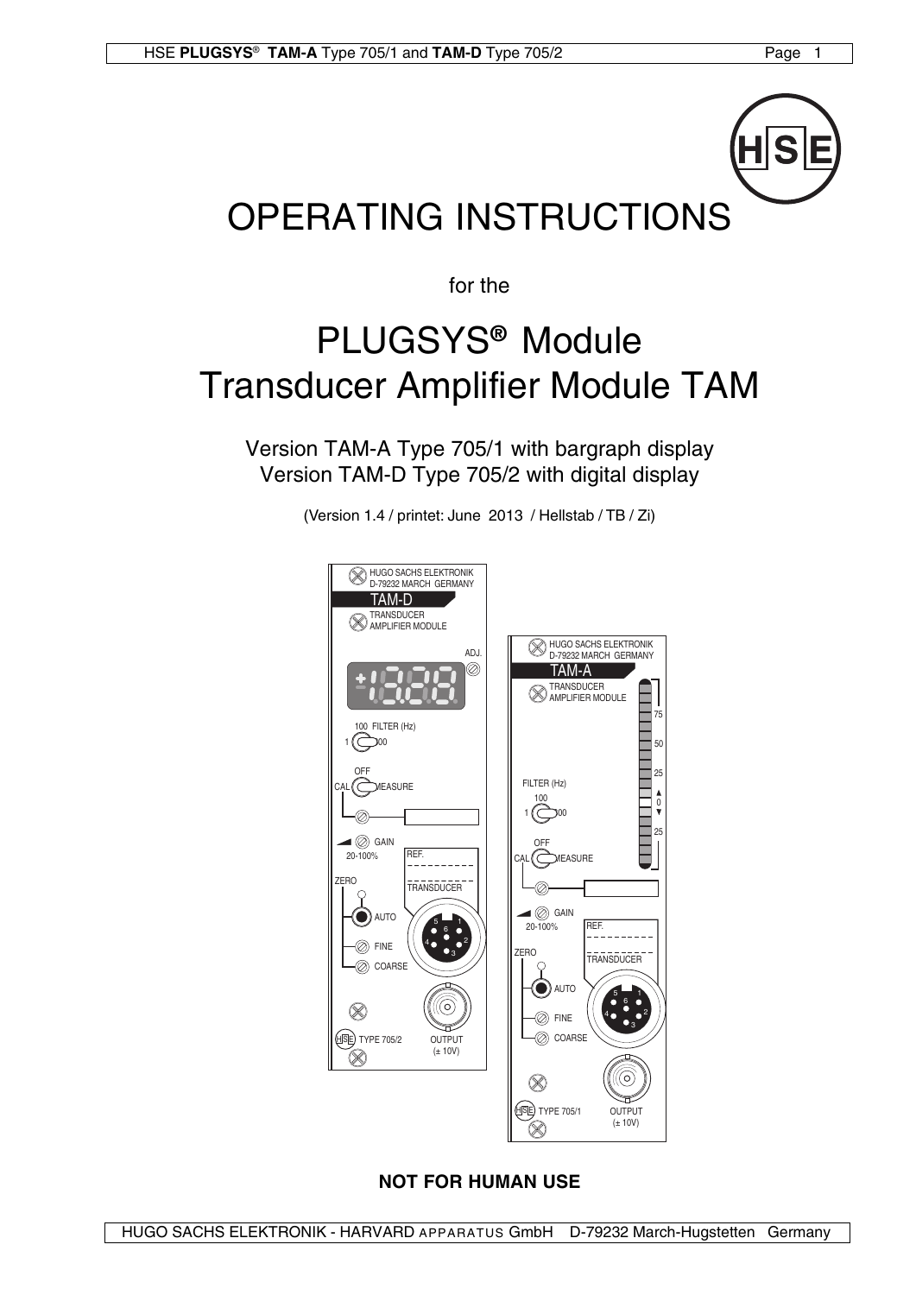

# OPERATING INSTRUCTIONS

for the

# PLUGSYS**®** Module Transducer Amplifier Module TAM

Version TAM-A Type 705/1 with bargraph display Version TAM-D Type 705/2 with digital display

(Version 1.4 / printet: June 2013 / Hellstab / TB / Zi)



# **NOT FOR HUMAN USE**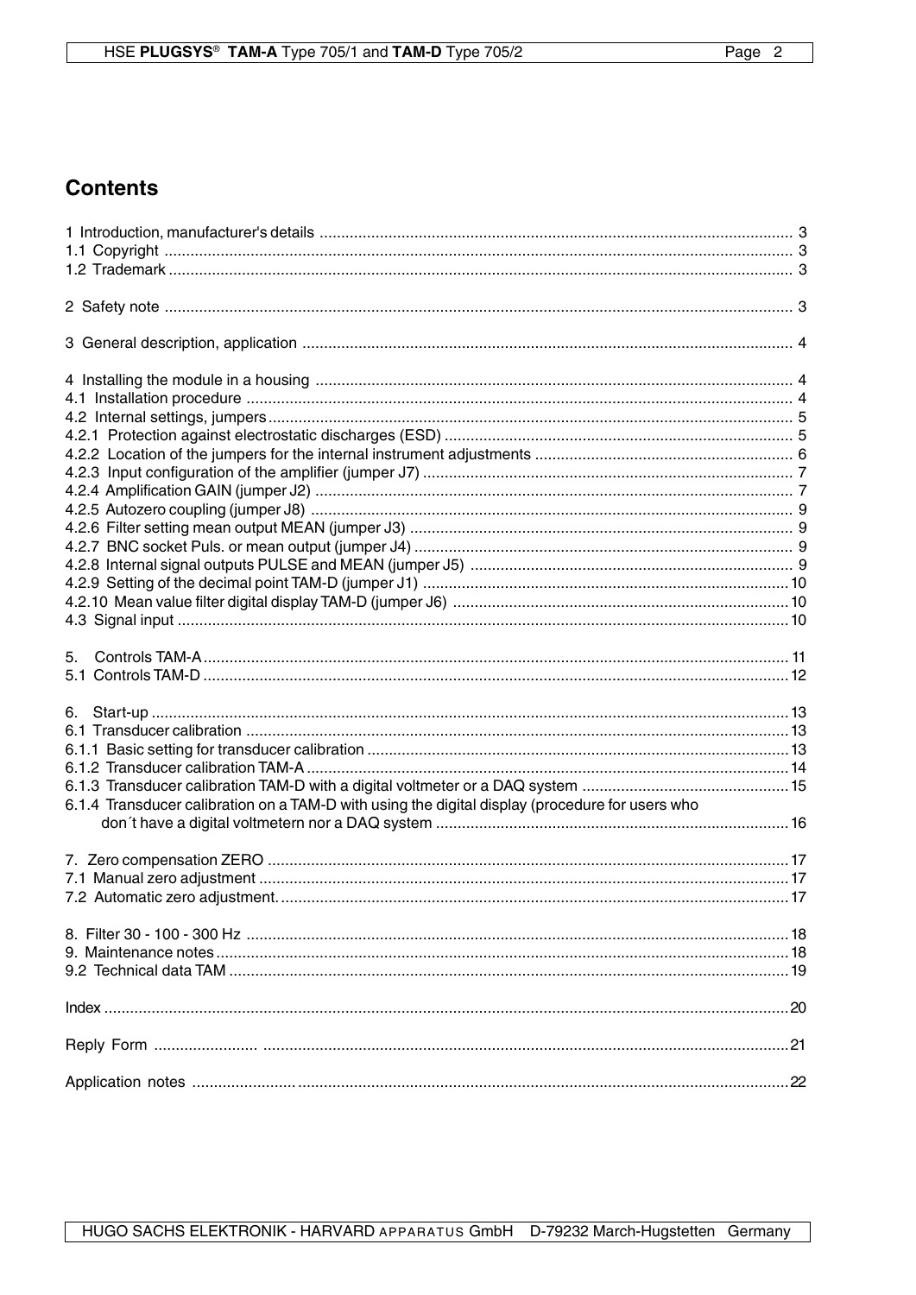# **Contents**

| 6.                                                                                              |  |
|-------------------------------------------------------------------------------------------------|--|
|                                                                                                 |  |
|                                                                                                 |  |
|                                                                                                 |  |
|                                                                                                 |  |
| 6.1.4 Transducer calibration on a TAM-D with using the digital display (procedure for users who |  |
|                                                                                                 |  |
|                                                                                                 |  |
|                                                                                                 |  |
|                                                                                                 |  |
|                                                                                                 |  |
|                                                                                                 |  |
|                                                                                                 |  |
|                                                                                                 |  |
|                                                                                                 |  |
|                                                                                                 |  |
|                                                                                                 |  |
|                                                                                                 |  |
|                                                                                                 |  |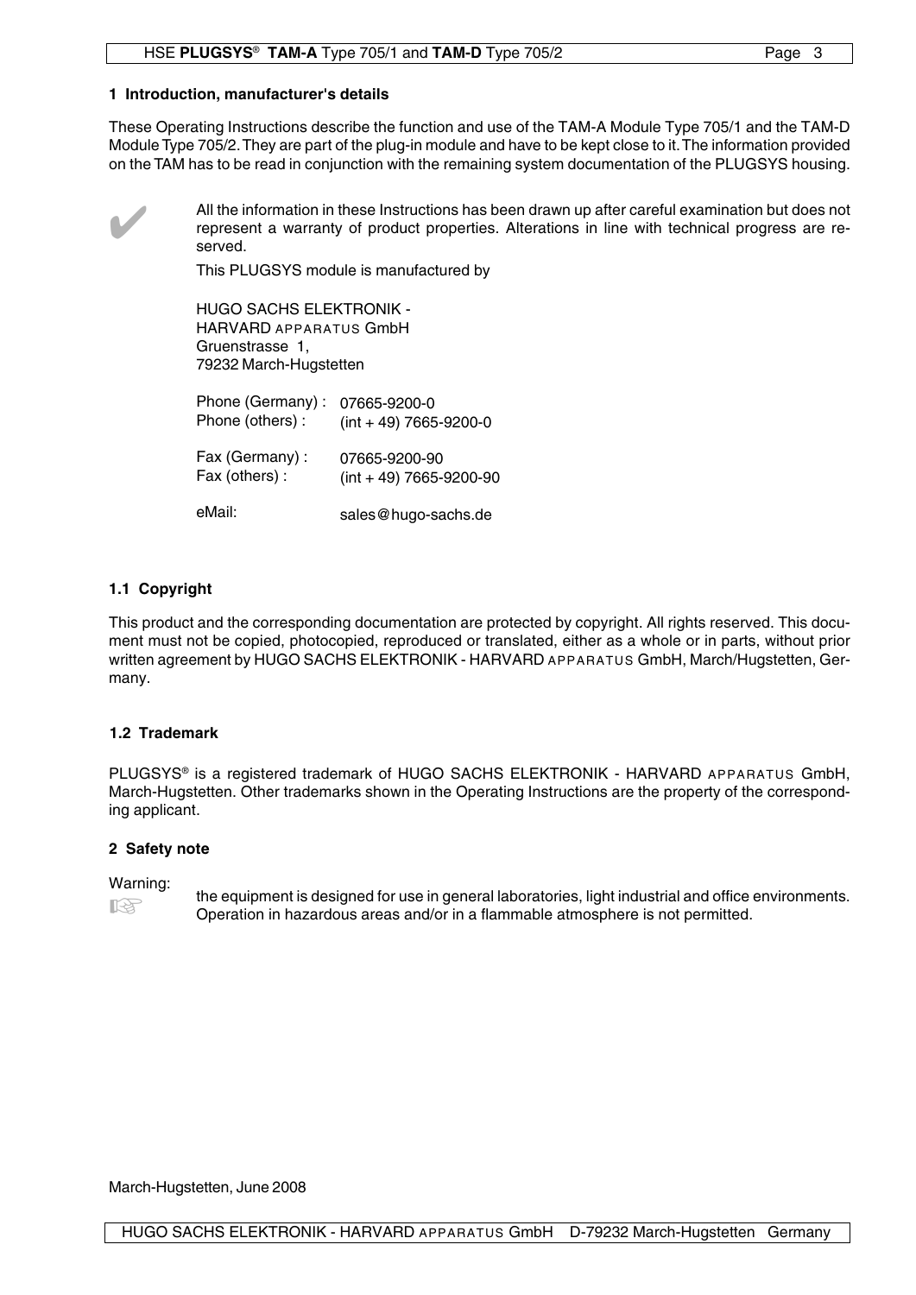#### **1 Introduction, manufacturer's details**

These Operating Instructions describe the function and use of the TAM-A Module Type 705/1 and the TAM-D Module Type 705/2. They are part of the plug-in module and have to be kept close to it. The information provided on the TAM has to be read in conjunction with the remaining system documentation of the PLUGSYS housing.



All the information in these Instructions has been drawn up after careful examination but does not represent a warranty of product properties. Alterations in line with technical progress are reserved.

This PLUGSYS module is manufactured by

HUGO SACHS ELEKTRONIK - HARVARD APPARATUS GmbH Gruenstrasse 1, 79232 March-Hugstetten

Phone (Germany) : 07665-9200-0 Phone (others) : Fax (Germany) : Fax (others) :  $(int + 49)$  7665-9200-0 07665-9200-90 (int + 49) 7665-9200-90

eMail: sales@hugo-sachs.de

#### **1.1 Copyright**

This product and the corresponding documentation are protected by copyright. All rights reserved. This document must not be copied, photocopied, reproduced or translated, either as a whole or in parts, without prior written agreement by HUGO SACHS ELEKTRONIK - HARVARD APPARATUS GmbH, March/Hugstetten, Germany.

#### **1.2 Trademark**

PLUGSYS® is a registered trademark of HUGO SACHS ELEKTRONIK - HARVARD APPARATUS GmbH, March-Hugstetten. Other trademarks shown in the Operating Instructions are the property of the corresponding applicant.

#### **2 Safety note**

#### Warning:

飞头

the equipment is designed for use in general laboratories, light industrial and office environments. Operation in hazardous areas and/or in a flammable atmosphere is not permitted.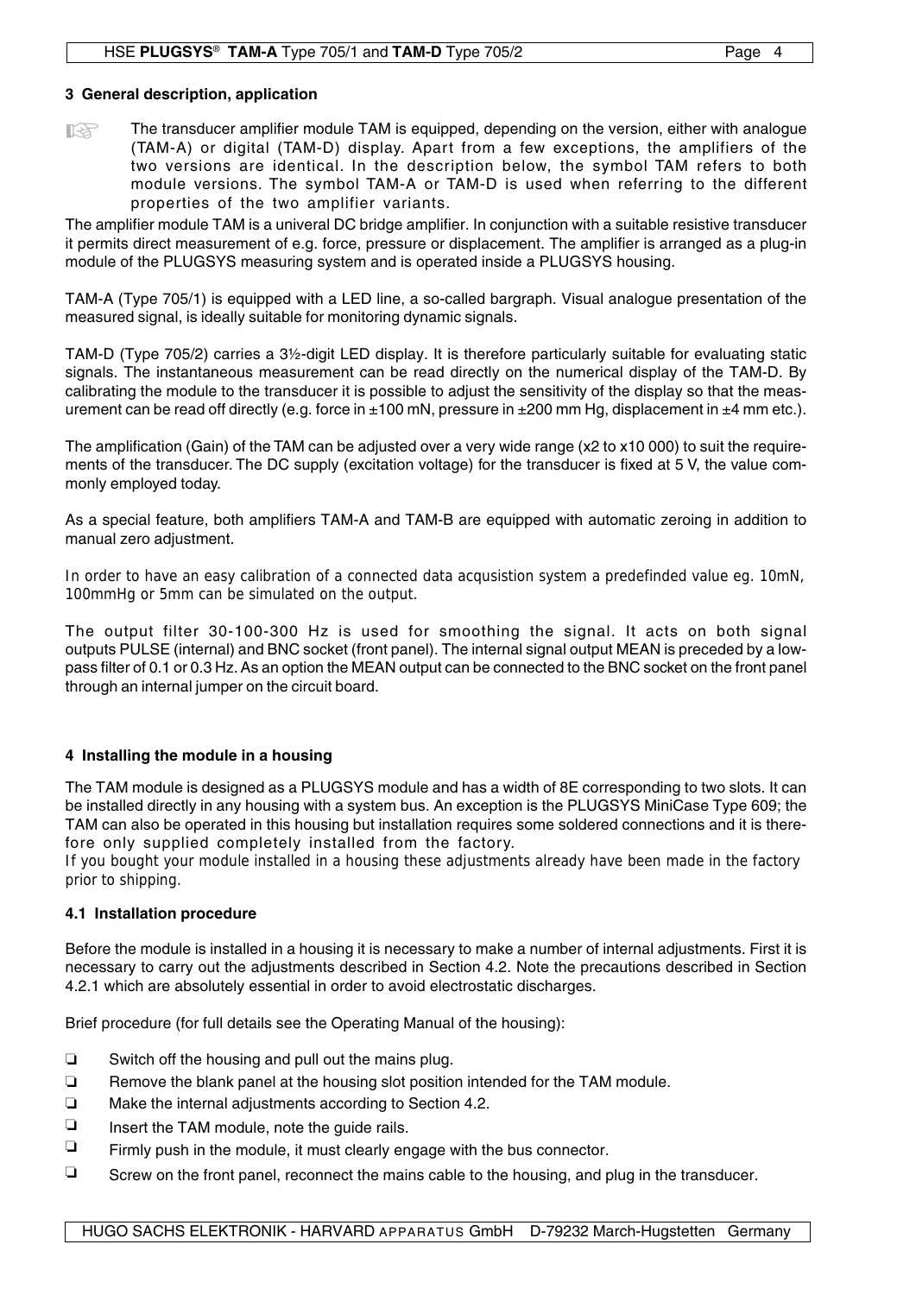### **3 General description, application**

The transducer amplifier module TAM is equipped, depending on the version, either with analogue (TAM-A) or digital (TAM-D) display. Apart from a few exceptions, the amplifiers of the two versions are identical. In the description below, the symbol TAM refers to both module versions. The symbol TAM-A or TAM-D is used when referring to the different properties of the two amplifier variants. **LA** 

The amplifier module TAM is a univeral DC bridge amplifier. In conjunction with a suitable resistive transducer it permits direct measurement of e.g. force, pressure or displacement. The amplifier is arranged as a plug-in module of the PLUGSYS measuring system and is operated inside a PLUGSYS housing.

TAM-A (Type 705/1) is equipped with a LED line, a so-called bargraph. Visual analogue presentation of the measured signal, is ideally suitable for monitoring dynamic signals.

TAM-D (Type 705/2) carries a 3½-digit LED display. It is therefore particularly suitable for evaluating static signals. The instantaneous measurement can be read directly on the numerical display of the TAM-D. By calibrating the module to the transducer it is possible to adjust the sensitivity of the display so that the measurement can be read off directly (e.g. force in  $\pm 100$  mN, pressure in  $\pm 200$  mm Hg, displacement in  $\pm 4$  mm etc.).

The amplification (Gain) of the TAM can be adjusted over a very wide range (x2 to x10 000) to suit the requirements of the transducer. The DC supply (excitation voltage) for the transducer is fixed at 5 V, the value commonly employed today.

As a special feature, both amplifiers TAM-A and TAM-B are equipped with automatic zeroing in addition to manual zero adjustment.

In order to have an easy calibration of a connected data acqusistion system a predefinded value eg. 10mN, 100mmHg or 5mm can be simulated on the output.

The output filter 30-100-300 Hz is used for smoothing the signal. It acts on both signal outputs PULSE (internal) and BNC socket (front panel). The internal signal output MEAN is preceded by a lowpass filter of 0.1 or 0.3 Hz. As an option the MEAN output can be connected to the BNC socket on the front panel through an internal jumper on the circuit board.

## **4 Installing the module in a housing**

The TAM module is designed as a PLUGSYS module and has a width of 8E corresponding to two slots. It can be installed directly in any housing with a system bus. An exception is the PLUGSYS MiniCase Type 609; the TAM can also be operated in this housing but installation requires some soldered connections and it is therefore only supplied completely installed from the factory.

If you bought your module installed in a housing these adjustments already have been made in the factory prior to shipping.

#### **4.1 Installation procedure**

Before the module is installed in a housing it is necessary to make a number of internal adjustments. First it is necessary to carry out the adjustments described in Section 4.2. Note the precautions described in Section 4.2.1 which are absolutely essential in order to avoid electrostatic discharges.

Brief procedure (for full details see the Operating Manual of the housing):

- $\square$  Switch off the housing and pull out the mains plug.
- $\Box$  Remove the blank panel at the housing slot position intended for the TAM module.
- $\Box$  Make the internal adjustments according to Section 4.2.
- $\Box$  Insert the TAM module, note the quide rails.
- $\Box$  Firmly push in the module, it must clearly engage with the bus connector.
- $\Box$  Screw on the front panel, reconnect the mains cable to the housing, and plug in the transducer.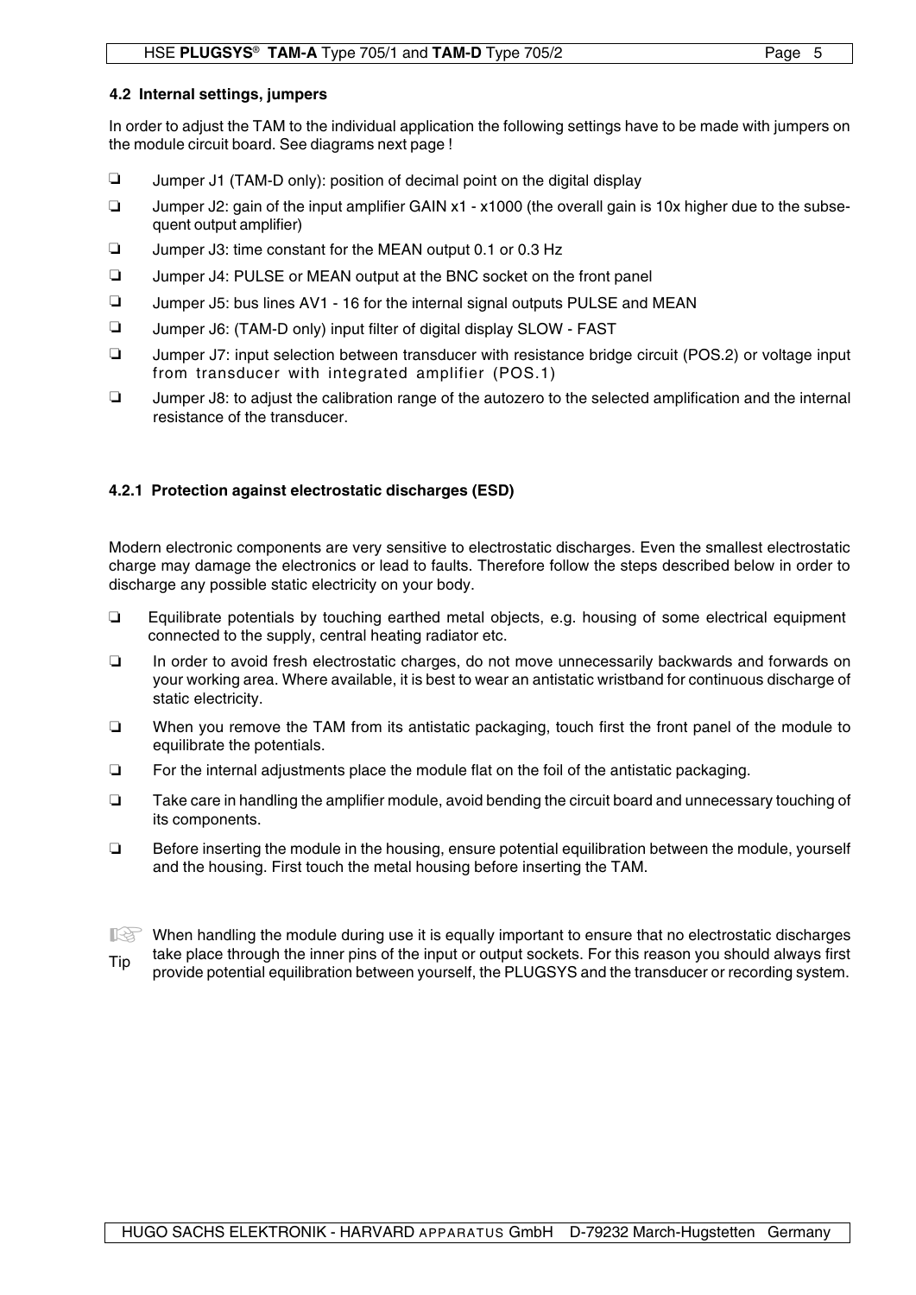#### **4.2 Internal settings, jumpers**

In order to adjust the TAM to the individual application the following settings have to be made with jumpers on the module circuit board. See diagrams next page !

- $\Box$  Jumper J1 (TAM-D only): position of decimal point on the digital display
- $\Box$ Jumper J2: gain of the input amplifier GAIN x1 - x1000 (the overall gain is 10x higher due to the subsequent output amplifier)
- $\Box$ Jumper J3: time constant for the MEAN output 0.1 or 0.3 Hz
- □ Jumper J4: PULSE or MEAN output at the BNC socket on the front panel
- □ Jumper J5: bus lines AV1 16 for the internal signal outputs PULSE and MEAN
- $\Box$  Jumper J6: (TAM-D only) input filter of digital display SLOW FAST
- □ Jumper J7: input selection between transducer with resistance bridge circuit (POS.2) or voltage input from transducer with integrated amplifier (POS.1)
- $\Box$  Jumper J8: to adjust the calibration range of the autozero to the selected amplification and the internal resistance of the transducer.

## **4.2.1 Protection against electrostatic discharges (ESD)**

Modern electronic components are very sensitive to electrostatic discharges. Even the smallest electrostatic charge may damage the electronics or lead to faults. Therefore follow the steps described below in order to discharge any possible static electricity on your body.

- Equilibrate potentials by touching earthed metal objects, e.g. housing of some electrical equipment connected to the supply, central heating radiator etc.  $\Box$
- In order to avoid fresh electrostatic charges, do not move unnecessarily backwards and forwards on your working area. Where available, it is best to wear an antistatic wristband for continuous discharge of static electricity.  $\Box$
- When you remove the TAM from its antistatic packaging, touch first the front panel of the module to equilibrate the potentials.  $\Box$
- $\Box$  For the internal adjustments place the module flat on the foil of the antistatic packaging.
- Take care in handling the amplifier module, avoid bending the circuit board and unnecessary touching of its components.  $\Box$
- Before inserting the module in the housing, ensure potential equilibration between the module, yourself and the housing. First touch the metal housing before inserting the TAM.  $\Box$
- When handling the module during use it is equally important to ensure that no electrostatic discharges<br>telse place through the inper pipe of the input or output eackets. For this reason you should always first take place through the inner pins of the input or output sockets. For this reason you should always first provide potential equilibration between yourself, the PLUGSYS and the transducer or recording system. Tip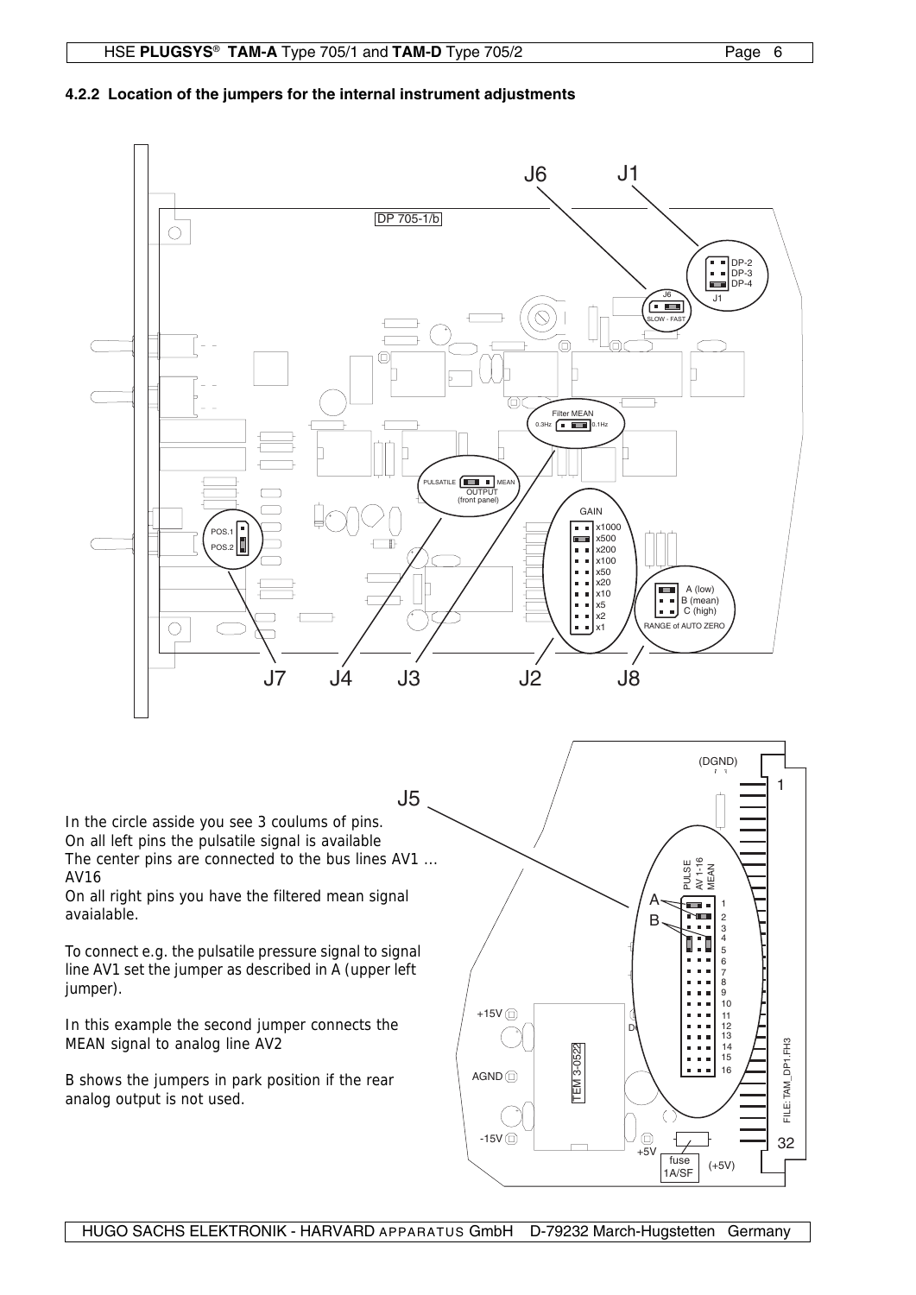### **4.2.2 Location of the jumpers for the internal instrument adjustments**



HUGO SACHS ELEKTRONIK - HARVARD APPARATUS GmbH D-79232 March-Hugstetten Germany

1A/SF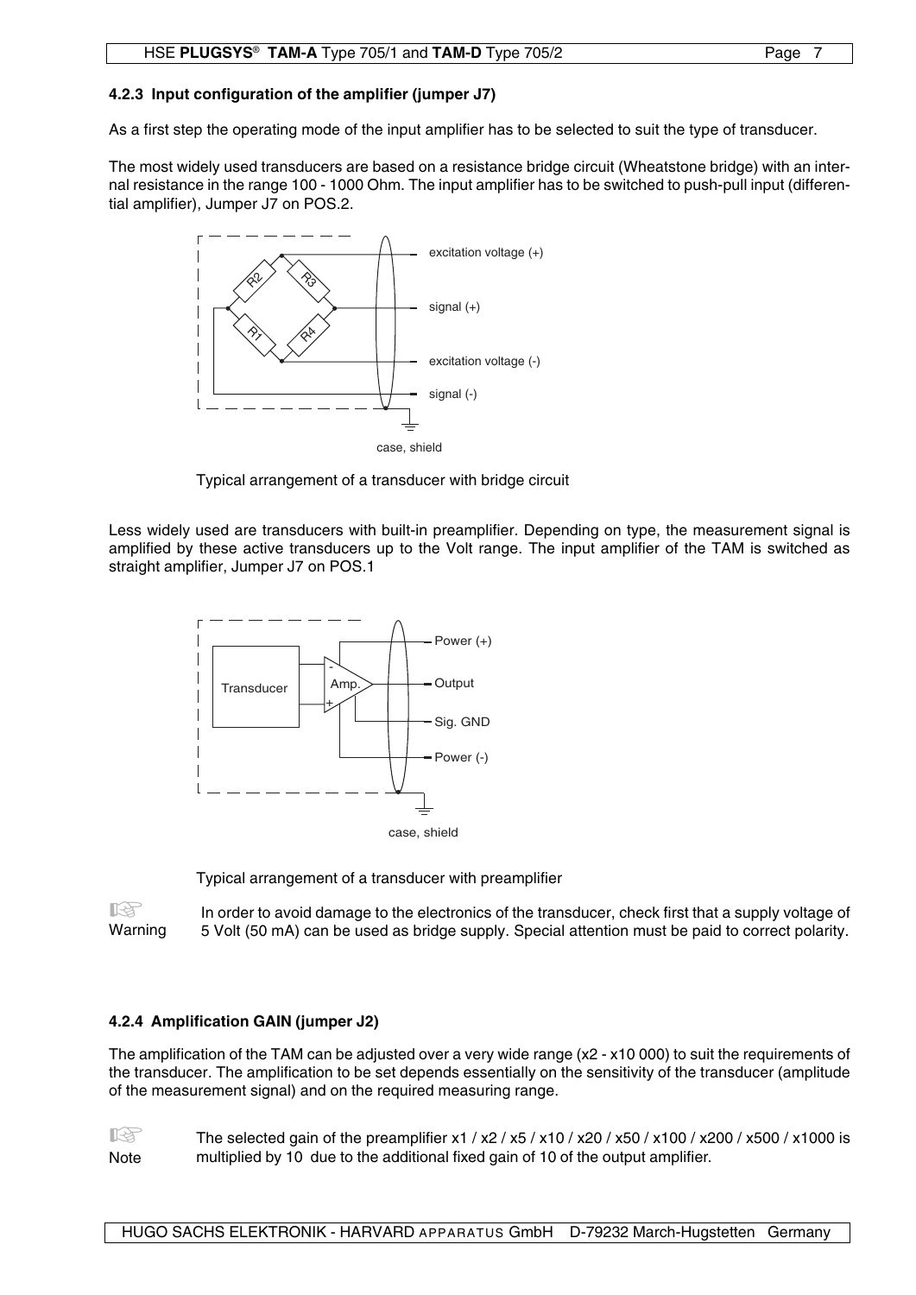### **4.2.3 Input configuration of the amplifier (jumper J7)**

As a first step the operating mode of the input amplifier has to be selected to suit the type of transducer.

The most widely used transducers are based on a resistance bridge circuit (Wheatstone bridge) with an internal resistance in the range 100 - 1000 Ohm. The input amplifier has to be switched to push-pull input (differential amplifier), Jumper J7 on POS.2.



Typical arrangement of a transducer with bridge circuit

Less widely used are transducers with built-in preamplifier. Depending on type, the measurement signal is amplified by these active transducers up to the Volt range. The input amplifier of the TAM is switched as straight amplifier, Jumper J7 on POS.1



Typical arrangement of a transducer with preamplifier

In order to avoid damage to the electronics of the transducer, check first that a supply voltage of 5 Volt (50 mA) can be used as bridge supply. Special attention must be paid to correct polarity. **KA** Warning

## **4.2.4 Amplification GAIN (jumper J2)**

The amplification of the TAM can be adjusted over a very wide range (x2 - x10 000) to suit the requirements of the transducer. The amplification to be set depends essentially on the sensitivity of the transducer (amplitude of the measurement signal) and on the required measuring range.

The selected gain of the preamplifier x1 / x2 / x5 / x10 / x20 / x50 / x100 / x200 / x500 / x1000 is **Note** 吃 multiplied by 10 due to the additional fixed gain of 10 of the output amplifier.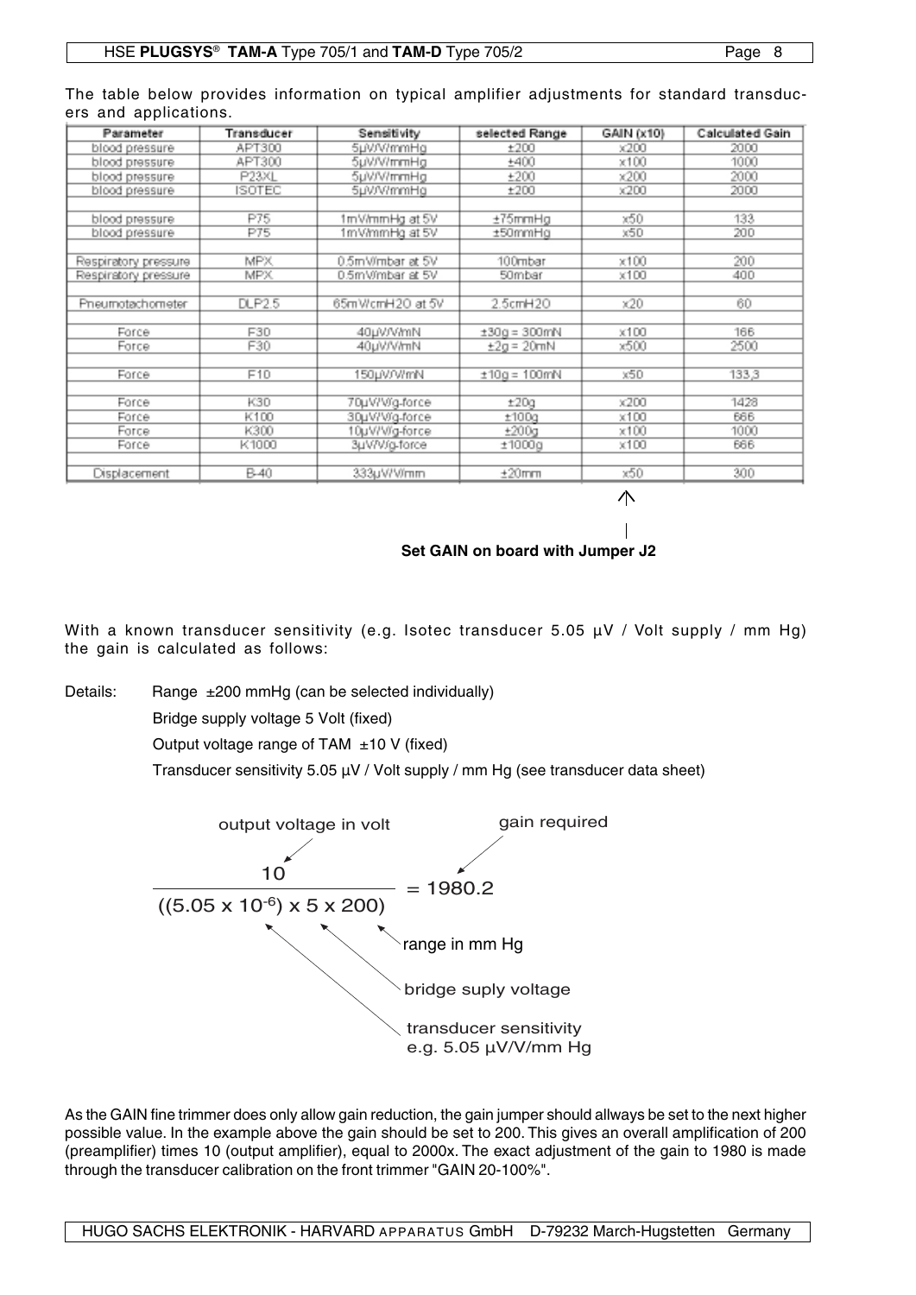| Parameter            | Transducer | Sensitivity      | selected Range  | GAIN (x10)   | <b>Calculated Gain</b> |
|----------------------|------------|------------------|-----------------|--------------|------------------------|
| blood pressure       | APT300     | 5µV/V/mmHa       | ±200            | $\times200$  | 2000                   |
| siene blood          | APT300     | 5µV/V/mmHg       | ±400            | x100         | 1000                   |
| blood pressure       | P23XL      | 5uV/V/mmHg       | ±200            | $\times200$  | 2000                   |
| blood pressure       | ISOTEC     | 5µV/V/mmHg       | ±200            | $\times 200$ | 2000                   |
|                      |            |                  |                 |              |                        |
| blood pressure       | P75        | 1mV/mmHg at 5V   | ±75mmHg         | x50          | 133                    |
| blood pressure       | P75        | 1mV/mmHg at 5V   | ±50mmHg         | x50          | 200                    |
|                      |            |                  |                 |              |                        |
| Respiratory pressure | <b>MPX</b> | 0.5mWmbar at 5V  | 100mbar         | x100         | 200                    |
| Respiratory pressure | <b>MPX</b> | 0.5m Wmbar at 5V | 50mbar          | x100         | 400                    |
|                      |            |                  |                 |              |                        |
| Pneumotachometer     | DLP2.5     | 65mWcmH2O at 5V  | 2.5cmH20        | $\times20$   | 60                     |
|                      |            |                  |                 |              |                        |
| Force                | F30        | 40µV/V/mN        | $±30g = 300mN$  | x100         | 166                    |
| Force                | F30        | 40uV/V/mN        | $\pm 2a = 20mN$ | x500         | 2500                   |
|                      |            |                  |                 |              |                        |
| Force                | F10        | 150µV/V/mN       | $±10a = 100mN$  | x50          | 133.3                  |
|                      |            |                  |                 |              |                        |
| Force                | K30        | 70µV/Vig-force   | ±20g            | $\times 200$ | 1428                   |
| Force                | K100       | 30µV/Vig-force   | ±100g           | x100         | 666                    |
| Force                | K300       | 10µV/V/g-force   | ±200a           | x100         | 1000                   |
| Force                | K1000      | 3µV/V/g-force    | ±1000g          | x100         | 666                    |
|                      |            |                  |                 |              |                        |
| Displacement         | B-40       | 333µV/V/mm       | ±20mm           | x50          | 300                    |

The table below provides information on typical amplifier adjustments for standard transducers and applications.

小

## **Set GAIN on board with Jumper J2**

With a known transducer sensitivity (e.g. Isotec transducer 5.05 µV / Volt supply / mm Hg) the gain is calculated as follows:

Details: Range ±200 mmHg (can be selected individually)

Bridge supply voltage 5 Volt (fixed)

Output voltage range of TAM ±10 V (fixed)

Transducer sensitivity 5.05 µV / Volt supply / mm Hg (see transducer data sheet)



As the GAIN fine trimmer does only allow gain reduction, the gain jumper should allways be set to the next higher possible value. In the example above the gain should be set to 200. This gives an overall amplification of 200 (preamplifier) times 10 (output amplifier), equal to 2000x. The exact adjustment of the gain to 1980 is made through the transducer calibration on the front trimmer "GAIN 20-100%".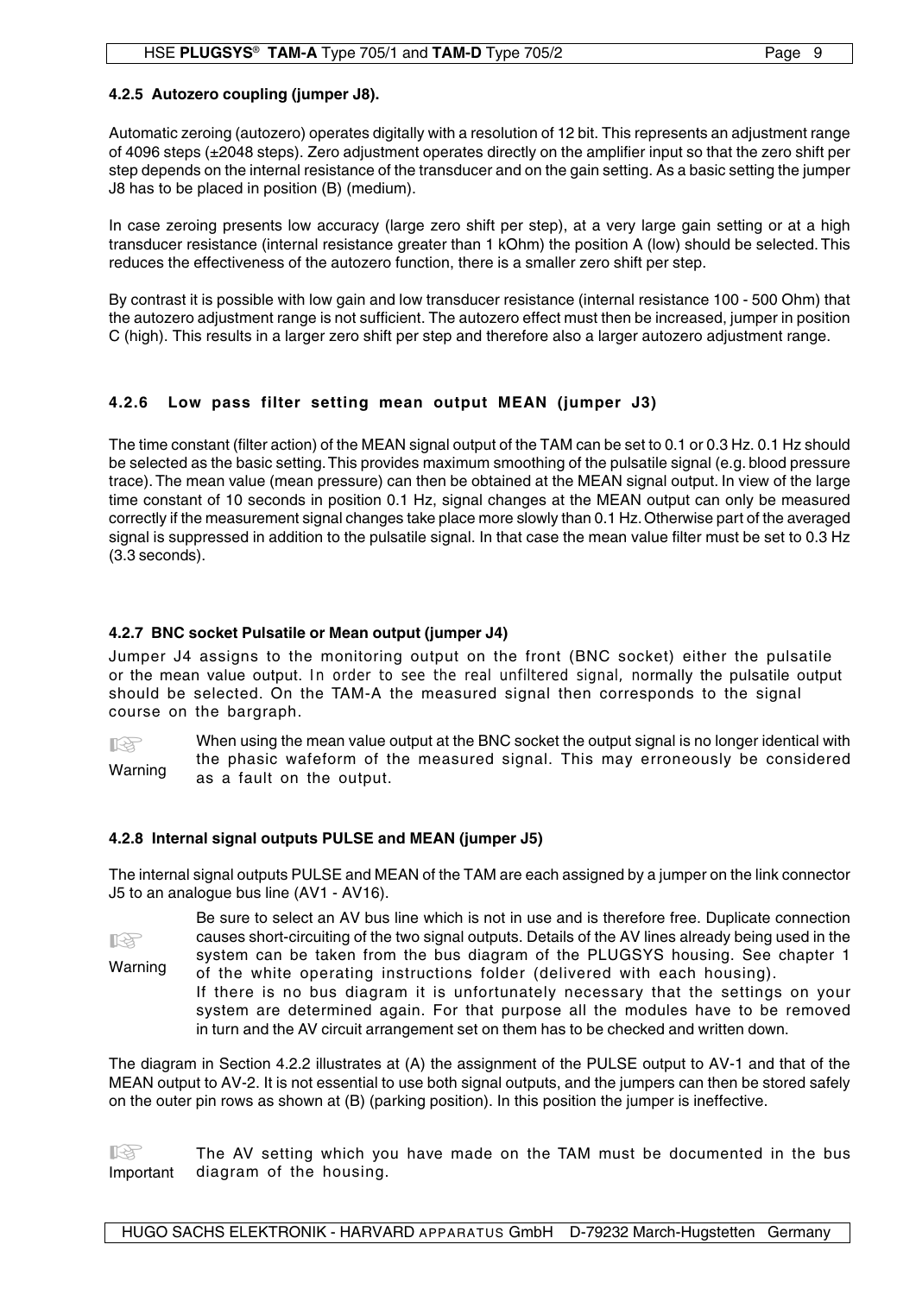Automatic zeroing (autozero) operates digitally with a resolution of 12 bit. This represents an adjustment range of 4096 steps (±2048 steps). Zero adjustment operates directly on the amplifier input so that the zero shift per step depends on the internal resistance of the transducer and on the gain setting. As a basic setting the jumper J8 has to be placed in position (B) (medium).

In case zeroing presents low accuracy (large zero shift per step), at a very large gain setting or at a high transducer resistance (internal resistance greater than 1 kOhm) the position A (low) should be selected. This reduces the effectiveness of the autozero function, there is a smaller zero shift per step.

By contrast it is possible with low gain and low transducer resistance (internal resistance 100 - 500 Ohm) that the autozero adjustment range is not sufficient. The autozero effect must then be increased, jumper in position C (high). This results in a larger zero shift per step and therefore also a larger autozero adjustment range.

## **4.2.6 Low pass filter setting mean output MEAN (jumper J3)**

The time constant (filter action) of the MEAN signal output of the TAM can be set to 0.1 or 0.3 Hz. 0.1 Hz should be selected as the basic setting. This provides maximum smoothing of the pulsatile signal (e.g. blood pressure trace). The mean value (mean pressure) can then be obtained at the MEAN signal output. In view of the large time constant of 10 seconds in position 0.1 Hz, signal changes at the MEAN output can only be measured correctly if the measurement signal changes take place more slowly than 0.1 Hz. Otherwise part of the averaged signal is suppressed in addition to the pulsatile signal. In that case the mean value filter must be set to 0.3 Hz (3.3 seconds).

## **4.2.7 BNC socket Pulsatile or Mean output (jumper J4)**

Jumper J4 assigns to the monitoring output on the front (BNC socket) either the pulsatile or the mean value output. In order to see the real unfiltered signal, normally the pulsatile output should be selected. On the TAM-A the measured signal then corresponds to the signal course on the bargraph.

When using the mean value output at the BNC socket the output signal is no longer identical with the phasic wafeform of the measured signal. This may erroneously be considered as a fault on the output. **KA** Warning

## **4.2.8 Internal signal outputs PULSE and MEAN (jumper J5)**

The internal signal outputs PULSE and MEAN of the TAM are each assigned by a jumper on the link connector J5 to an analogue bus line (AV1 - AV16).

Be sure to select an AV bus line which is not in use and is therefore free. Duplicate connection causes short-circuiting of the two signal outputs. Details of the AV lines already being used in the system can be taken from the bus diagram of the PLUGSYS housing. See chapter 1 of the white operating instructions folder (delivered with each housing). **IB** Warning

If there is no bus diagram it is unfortunately necessary that the settings on your system are determined again. For that purpose all the modules have to be removed in turn and the AV circuit arrangement set on them has to be checked and written down.

The diagram in Section 4.2.2 illustrates at (A) the assignment of the PULSE output to AV-1 and that of the MEAN output to AV-2. It is not essential to use both signal outputs, and the jumpers can then be stored safely on the outer pin rows as shown at (B) (parking position). In this position the jumper is ineffective.

The AV setting which you have made on the TAM must be documented in the bus Important diagram of the housing. diagram of the housing.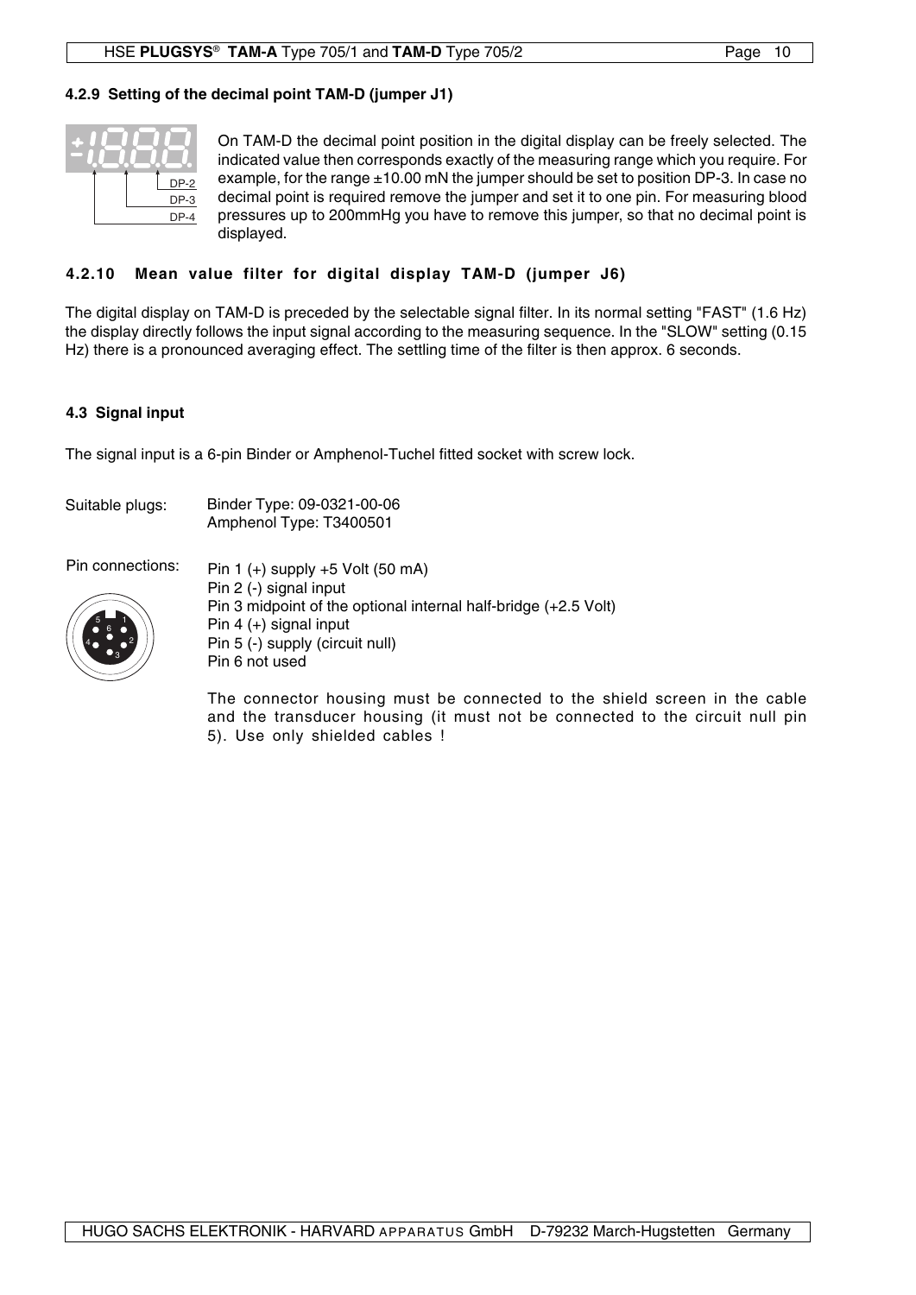## **4.2.9 Setting of the decimal point TAM-D (jumper J1)**



On TAM-D the decimal point position in the digital display can be freely selected. The indicated value then corresponds exactly of the measuring range which you require. For example, for the range  $\pm 10.00$  mN the jumper should be set to position DP-3. In case no decimal point is required remove the jumper and set it to one pin. For measuring blood pressures up to 200mmHg you have to remove this jumper, so that no decimal point is displayed.

## **4.2.10 Mean value filter for digital display TAM-D (jumper J6)**

The digital display on TAM-D is preceded by the selectable signal filter. In its normal setting "FAST" (1.6 Hz) the display directly follows the input signal according to the measuring sequence. In the "SLOW" setting (0.15 Hz) there is a pronounced averaging effect. The settling time of the filter is then approx. 6 seconds.

## **4.3 Signal input**

The signal input is a 6-pin Binder or Amphenol-Tuchel fitted socket with screw lock.

| Suitable plugs: | Binder Type: 09-0321-00-06 |  |
|-----------------|----------------------------|--|
|                 | Amphenol Type: T3400501    |  |



Pin connections:  $P_{\text{in 1 (+) supply +5 Volt (50 mA)}}$ Pin 2 (-) signal input Pin 3 midpoint of the optional internal half-bridge (+2.5 Volt) Pin 4 (+) signal input Pin 5 (-) supply (circuit null) Pin 6 not used

> The connector housing must be connected to the shield screen in the cable and the transducer housing (it must not be connected to the circuit null pin 5). Use only shielded cables !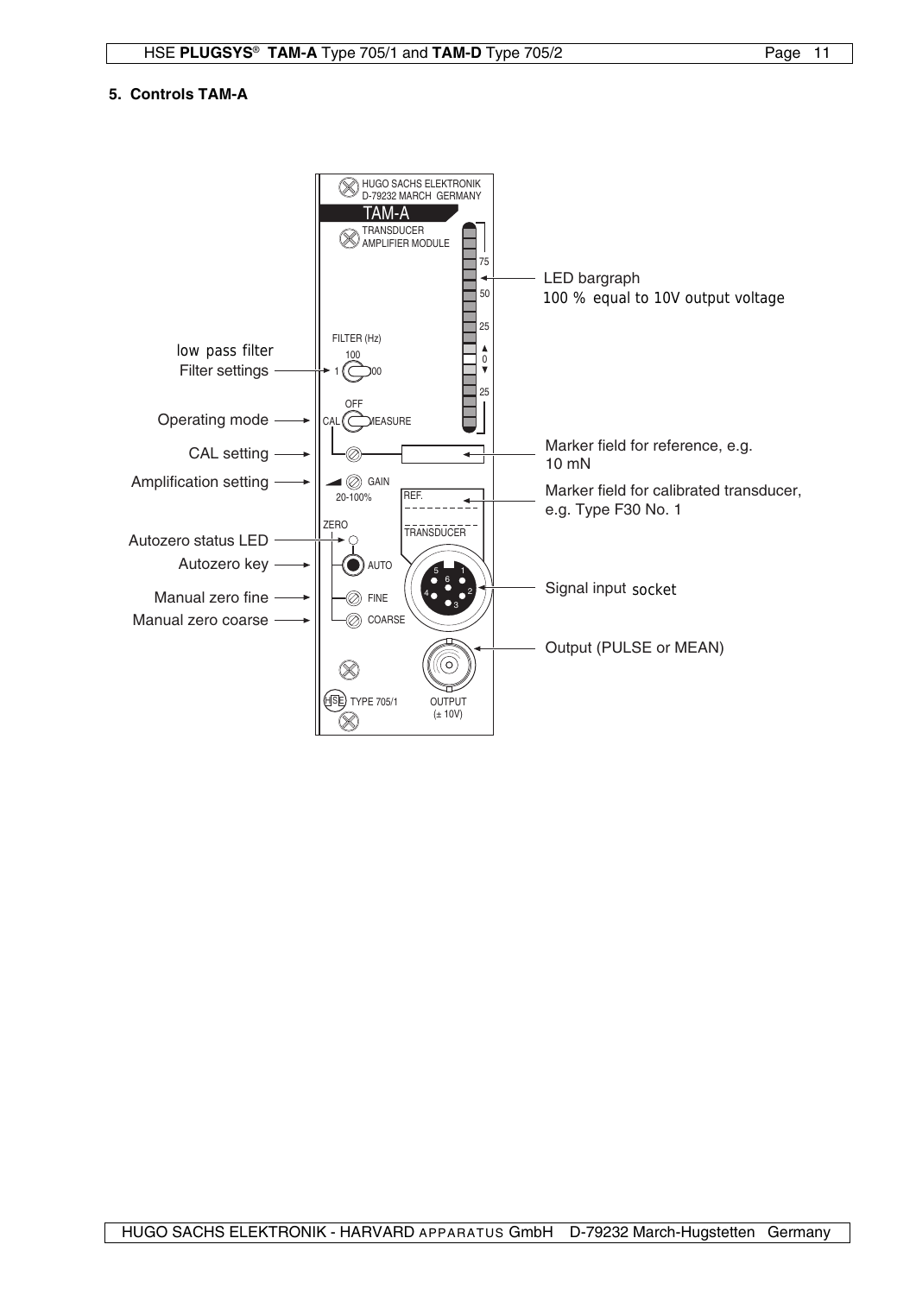### **5. Controls TAM-A**

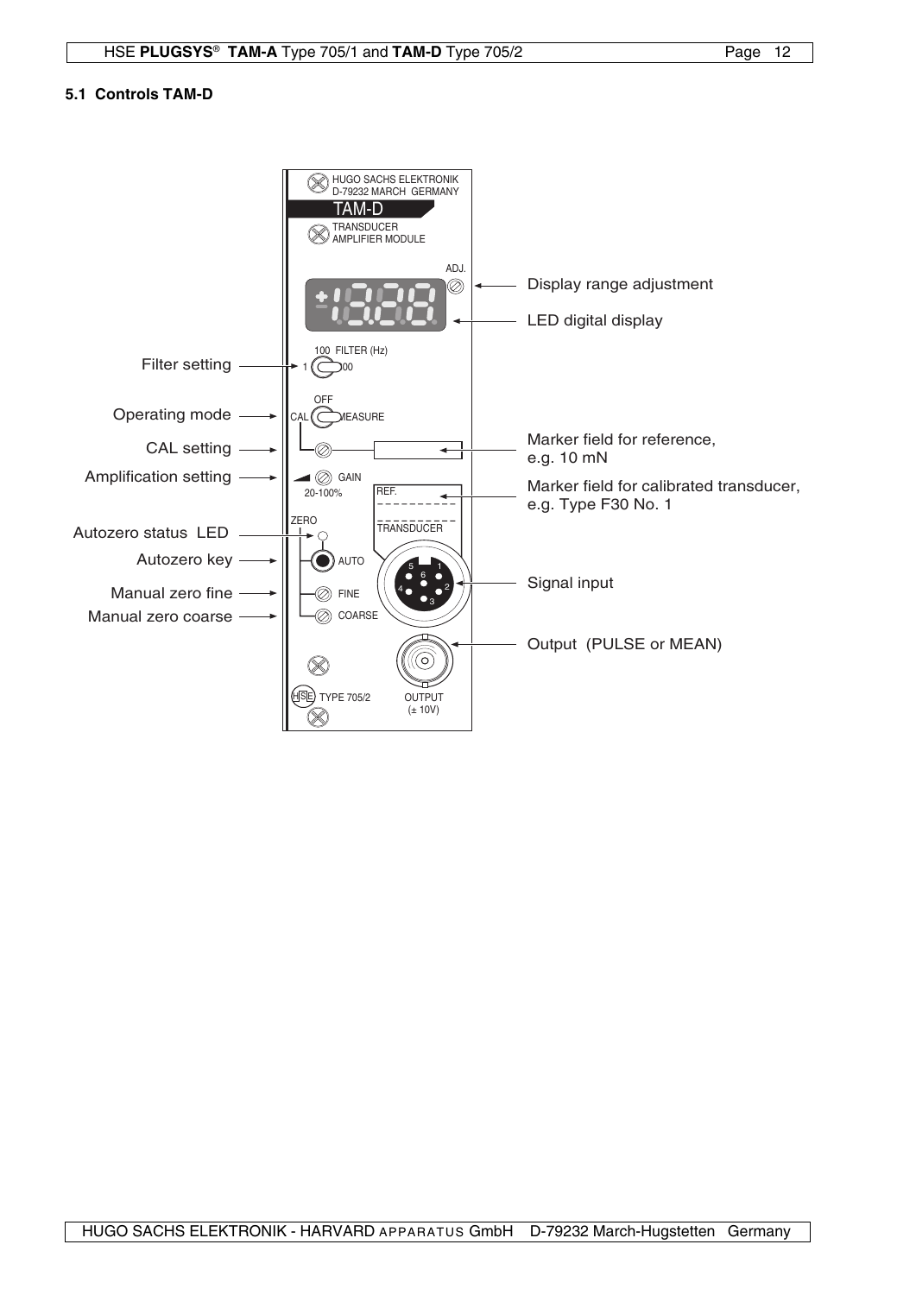## **5.1 Controls TAM-D**

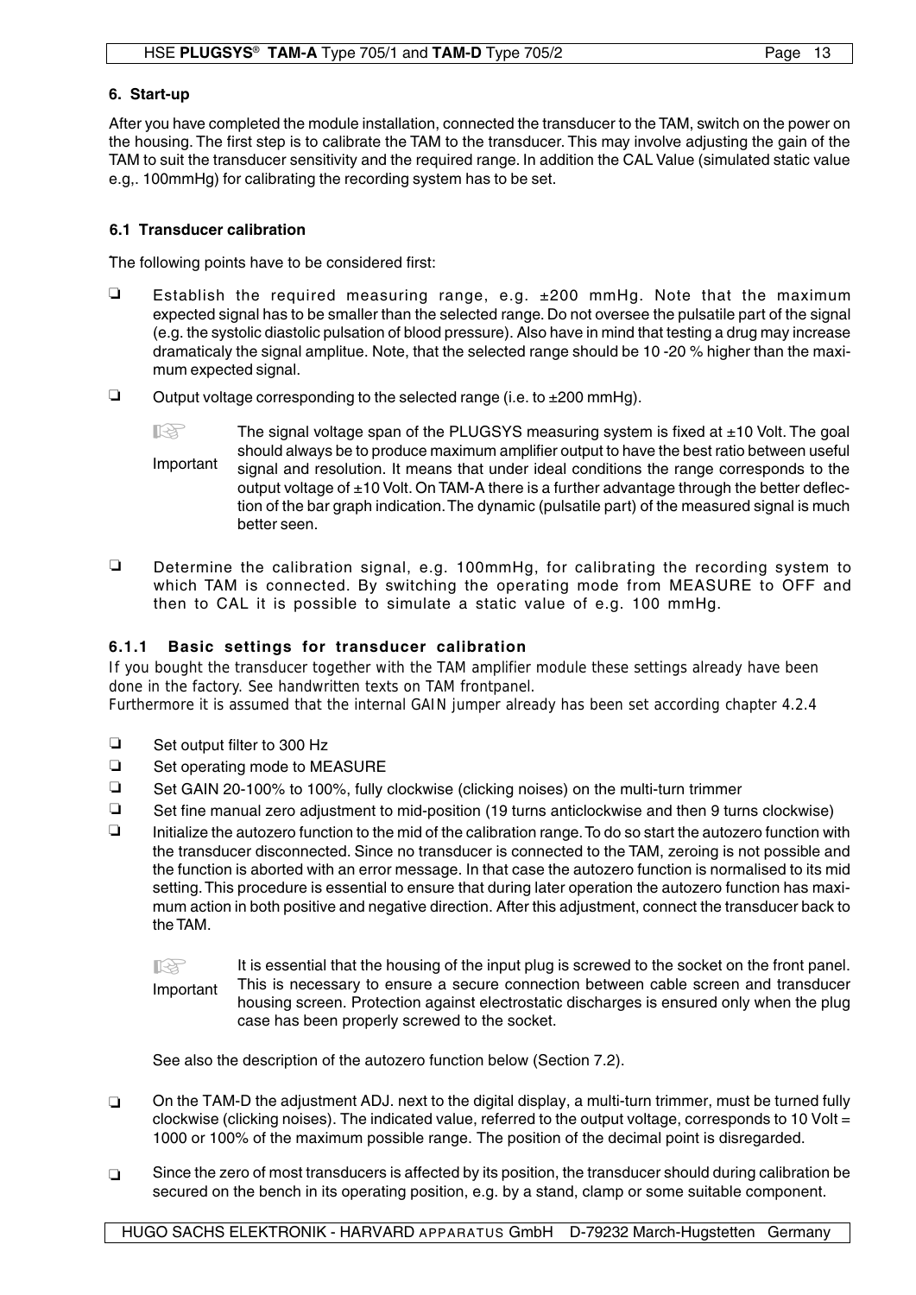#### **6. Start-up**

After you have completed the module installation, connected the transducer to the TAM, switch on the power on the housing. The first step is to calibrate the TAM to the transducer. This may involve adjusting the gain of the TAM to suit the transducer sensitivity and the required range. In addition the CAL Value (simulated static value e.g,. 100mmHg) for calibrating the recording system has to be set.

#### **6.1 Transducer calibration**

. The following points have to be considered first:

- **Establish the required measuring range, e.g.**  $\pm 200$  **mmHg. Note that the maximum** expected signal has to be smaller than the selected range. Do not oversee the pulsatile part of the signal (e.g. the systolic diastolic pulsation of blood pressure). Also have in mind that testing a drug may increase dramaticaly the signal amplitue. Note, that the selected range should be 10 -20 % higher than the maximum expected signal.
- Q Output voltage corresponding to the selected range (i.e. to  $\pm 200$  mmHg).
	- Important  $\mathbb{R}$  The signal voltage span of the PLUGSYS measuring system is fixed at  $\pm$ 10 Volt. The goal should always be to produce maximum amplifier output to have the best ratio between useful signal and resolution. It means that under ideal conditions the range corresponds to the output voltage of ±10 Volt. On TAM-A there is a further advantage through the better deflection of the bar graph indication. The dynamic (pulsatile part) of the measured signal is much better seen.
- Determine the calibration signal, e.g. 100mmHg, for calibrating the recording system to which TAM is connected. By switching the operating mode from MEASURE to OFF and then to CAL it is possible to simulate a static value of e.g. 100 mmHg.

## **6.1.1 Basic settings for transducer calibration**

If you bought the transducer together with the TAM amplifier module these settings already have been done in the factory. See handwritten texts on TAM frontpanel.

Furthermore it is assumed that the internal GAIN jumper already has been set according chapter 4.2.4

- $\Box$  Set output filter to 300 Hz
- $\Box$  Set operating mode to MEASURE
- $\Box$  Set GAIN 20-100% to 100%, fully clockwise (clicking noises) on the multi-turn trimmer
- $\Box$  Set fine manual zero adjustment to mid-position (19 turns anticlockwise and then 9 turns clockwise)
- Initialize the autozero function to the mid of the calibration range. To do so start the autozero function with the transducer disconnected. Since no transducer is connected to the TAM, zeroing is not possible and the function is aborted with an error message. In that case the autozero function is normalised to its mid setting. This procedure is essential to ensure that during later operation the autozero function has maximum action in both positive and negative direction. After this adjustment, connect the transducer back to the TAM.  $\Box$

It is essential that the housing of the input plug is screwed to the socket on the front panel. This is necessary to ensure a secure connection between cable screen and transducer housing screen. Protection against electrostatic discharges is ensured only when the plug case has been properly screwed to the socket. Important **KA** 

See also the description of the autozero function below (Section 7.2).

- On the TAM-D the adjustment ADJ. next to the digital display, a multi-turn trimmer, must be turned fully clockwise (clicking noises). The indicated value, referred to the output voltage, corresponds to 10 Volt = 1000 or 100% of the maximum possible range. The position of the decimal point is disregarded.  $\Box$
- Since the zero of most transducers is affected by its position, the transducer should during calibration be secured on the bench in its operating position, e.g. by a stand, clamp or some suitable component.  $\Box$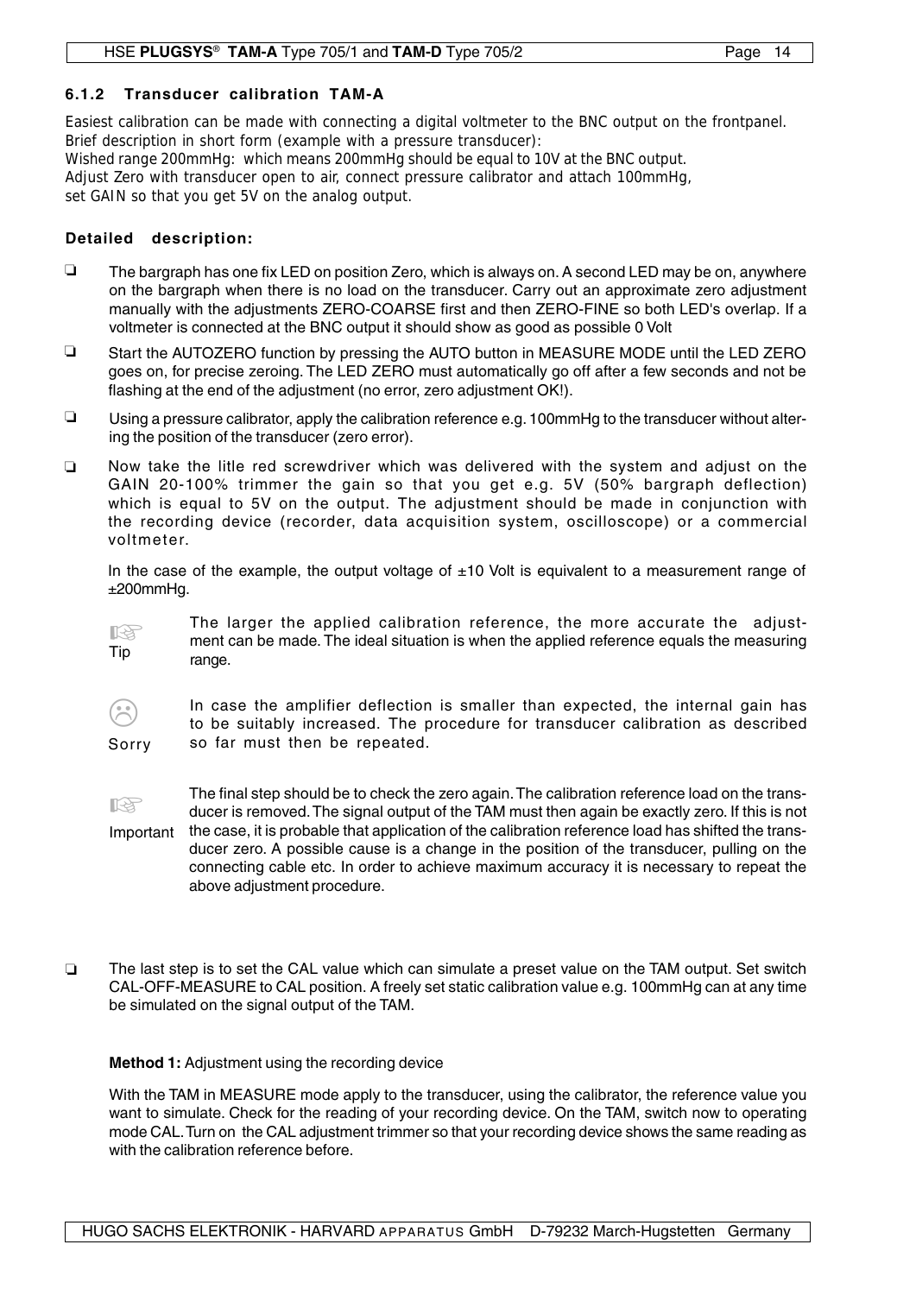## **6.1.2 Transducer calibration TAM-A**

Easiest calibration can be made with connecting a digital voltmeter to the BNC output on the frontpanel. Brief description in short form (example with a pressure transducer):

Wished range 200mmHg: which means 200mmHg should be equal to 10V at the BNC output. Adjust Zero with transducer open to air, connect pressure calibrator and attach 100mmHg, set GAIN so that you get 5V on the analog output.

#### **Detailed description:**

- $\Box$  The bargraph has one fix LED on position Zero, which is always on. A second LED may be on, anywhere on the bargraph when there is no load on the transducer. Carry out an approximate zero adjustment manually with the adjustments ZERO-COARSE first and then ZERO-FINE so both LED's overlap. If a voltmeter is connected at the BNC output it should show as good as possible 0 Volt
- $\Box$  Start the AUTOZERO function by pressing the AUTO button in MEASURE MODE until the LED ZERO goes on, for precise zeroing. The LED ZERO must automatically go off after a few seconds and not be flashing at the end of the adjustment (no error, zero adjustment OK!).
- $\Box$  Using a pressure calibrator, apply the calibration reference e.g. 100mmHg to the transducer without altering the position of the transducer (zero error).
- Now take the litle red screwdriver which was delivered with the system and adjust on the GAIN 20-100% trimmer the gain so that you get e.g. 5V (50% bargraph deflection) which is equal to 5V on the output. The adjustment should be made in conjunction with the recording device (recorder, data acquisition system, oscilloscope) or a commercial voltmeter.  $\Box$

In the case of the example, the output voltage of  $\pm 10$  Volt is equivalent to a measurement range of ±200mmHg.

The larger the applied calibration reference, the more accurate the adjustment can be made. The ideal situation is when the applied reference equals the measuring range.  $\mathbb{R}$ Tip

3 Sorry In case the amplifier deflection is smaller than expected, the internal gain has to be suitably increased. The procedure for transducer calibration as described so far must then be repeated.

The final step should be to check the zero again. The calibration reference load on the transducer is removed. The signal output of the TAM must then again be exactly zero. If this is not Important the case, it is probable that application of the calibration reference load has shifted the transducer zero. A possible cause is a change in the position of the transducer, pulling on the connecting cable etc. In order to achieve maximum accuracy it is necessary to repeat the above adjustment procedure. **KA** 

The last step is to set the CAL value which can simulate a preset value on the TAM output. Set switch CAL-OFF-MEASURE to CAL position. A freely set static calibration value e.g. 100mmHg can at any time be simulated on the signal output of the TAM.  $\Box$ 

## **Method 1:** Adjustment using the recording device

With the TAM in MEASURE mode apply to the transducer, using the calibrator, the reference value you want to simulate. Check for the reading of your recording device. On the TAM, switch now to operating mode CAL. Turn on the CAL adjustment trimmer so that your recording device shows the same reading as with the calibration reference before.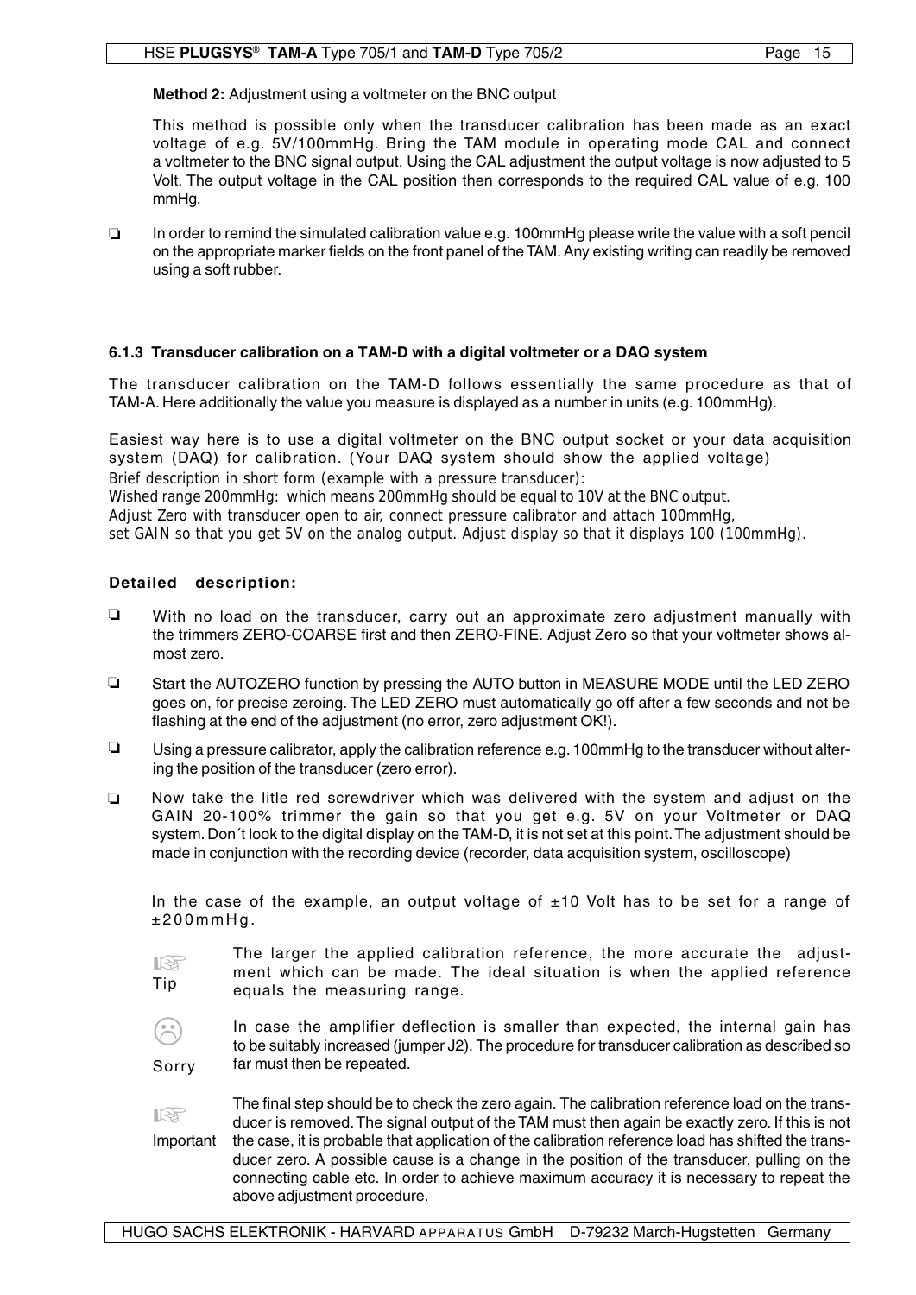## **Method 2:** Adjustment using a voltmeter on the BNC output

This method is possible only when the transducer calibration has been made as an exact voltage of e.g. 5V/100mmHg. Bring the TAM module in operating mode CAL and connect a voltmeter to the BNC signal output. Using the CAL adjustment the output voltage is now adjusted to 5 Volt. The output voltage in the CAL position then corresponds to the required CAL value of e.g. 100 mmHa.

In order to remind the simulated calibration value e.g. 100mmHg please write the value with a soft pencil on the appropriate marker fields on the front panel of the TAM. Any existing writing can readily be removed using a soft rubber.  $\Box$ 

## **6.1.3 Transducer calibration on a TAM-D with a digital voltmeter or a DAQ system**

The transducer calibration on the TAM-D follows essentially the same procedure as that of TAM-A. Here additionally the value you measure is displayed as a number in units (e.g. 100mmHg).

Easiest way here is to use a digital voltmeter on the BNC output socket or your data acquisition system (DAQ) for calibration. (Your DAQ system should show the applied voltage)

Brief description in short form (example with a pressure transducer):

Wished range 200mmHg: which means 200mmHg should be equal to 10V at the BNC output.

Adjust Zero with transducer open to air, connect pressure calibrator and attach 100mmHg,

set GAIN so that you get 5V on the analog output. Adjust display so that it displays 100 (100mmHg).

## **Detailed description:**

- $\Box$  With no load on the transducer, carry out an approximate zero adjustment manually with the trimmers ZERO-COARSE first and then ZERO-FINE. Adjust Zero so that your voltmeter shows almost zero.
- $\Box$  Start the AUTOZERO function by pressing the AUTO button in MEASURE MODE until the LED ZERO goes on, for precise zeroing. The LED ZERO must automatically go off after a few seconds and not be flashing at the end of the adjustment (no error, zero adjustment OK!).
- Using a pressure calibrator, apply the calibration reference e.g. 100mmHg to the transducer without altering the position of the transducer (zero error).
- Now take the litle red screwdriver which was delivered with the system and adjust on the GAIN 20-100% trimmer the gain so that you get e.g. 5V on your Voltmeter or DAQ system. Don't look to the digital display on the TAM-D, it is not set at this point. The adjustment should be made in conjunction with the recording device (recorder, data acquisition system, oscilloscope)  $\Box$

In the case of the example, an output voltage of  $\pm 10$  Volt has to be set for a range of  $±200$ mm $Ha$ .

**KA** Tip

The larger the applied calibration reference, the more accurate the adjustment which can be made. The ideal situation is when the applied reference equals the measuring range.

**3** Sorry In case the amplifier deflection is smaller than expected, the internal gain has to be suitably increased (jumper J2). The procedure for transducer calibration as described so far must then be repeated.

The final step should be to check the zero again. The calibration reference load on the transducer is removed. The signal output of the TAM must then again be exactly zero. If this is not the case, it is probable that application of the calibration reference load has shifted the transducer zero. A possible cause is a change in the position of the transducer, pulling on the connecting cable etc. In order to achieve maximum accuracy it is necessary to repeat the above adjustment procedure. Important **ISS**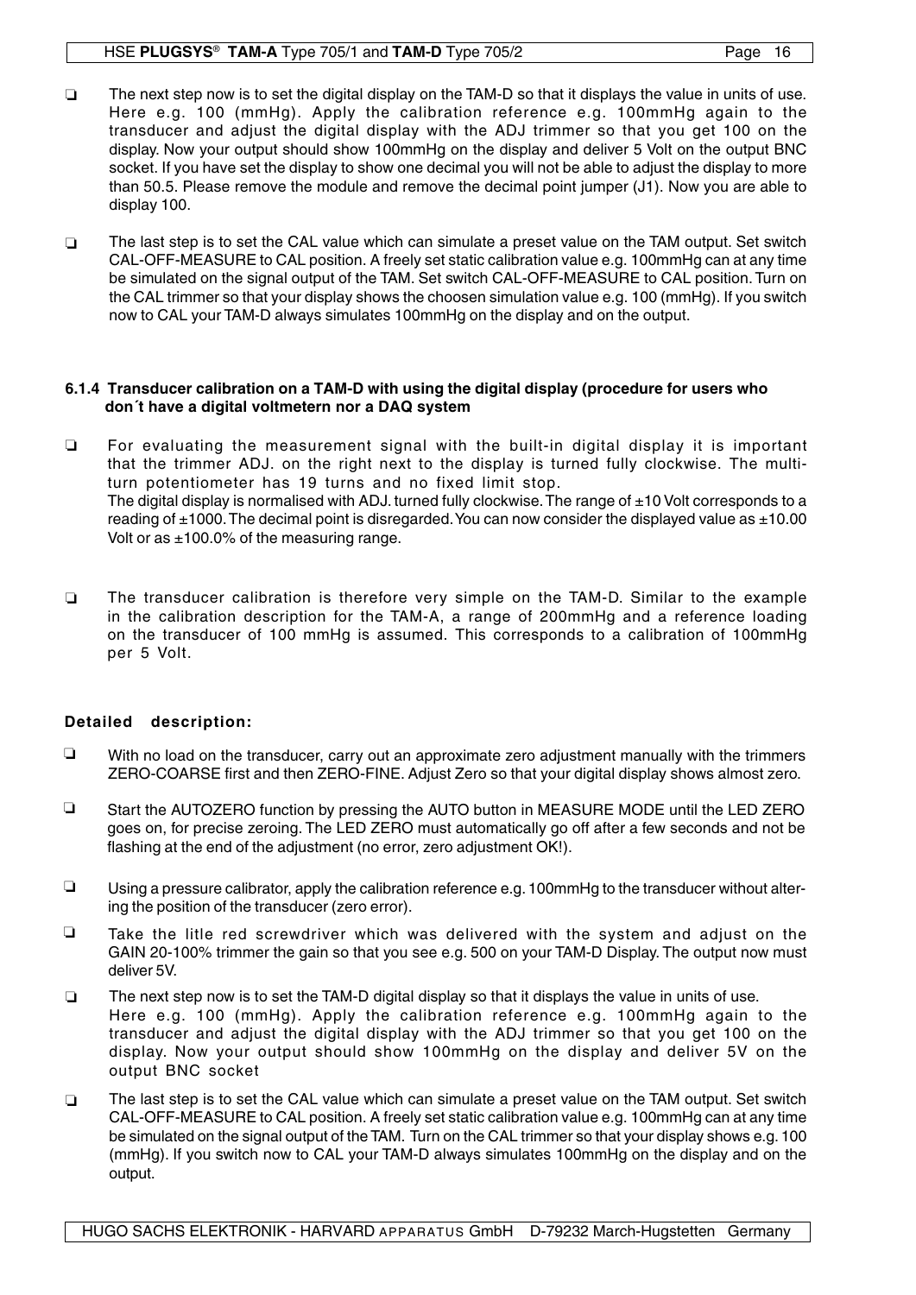#### HSE **PLUGSYS**® **TAM-A** Type 705/1 and **TAM-D** Type 705/2

- The next step now is to set the digital display on the TAM-D so that it displays the value in units of use. Here e.g. 100 (mmHg). Apply the calibration reference e.g. 100mmHg again to the transducer and adjust the digital display with the ADJ trimmer so that you get 100 on the display. Now your output should show 100mmHg on the display and deliver 5 Volt on the output BNC socket. If you have set the display to show one decimal you will not be able to adjust the display to more than 50.5. Please remove the module and remove the decimal point jumper (J1). Now you are able to display 100.  $\Box$
- The last step is to set the CAL value which can simulate a preset value on the TAM output. Set switch CAL-OFF-MEASURE to CAL position. A freely set static calibration value e.g. 100mmHg can at any time be simulated on the signal output of the TAM. Set switch CAL-OFF-MEASURE to CAL position. Turn on the CAL trimmer so that your display shows the choosen simulation value e.g. 100 (mmHg). If you switch now to CAL your TAM-D always simulates 100mmHg on the display and on the output.  $\Box$

#### **6.1.4 Transducer calibration on a TAM-D with using the digital display (procedure for users who don´t have a digital voltmetern nor a DAQ system**

- For evaluating the measurement signal with the built-in digital display it is important that the trimmer ADJ. on the right next to the display is turned fully clockwise. The multiturn potentiometer has 19 turns and no fixed limit stop. The digital display is normalised with ADJ. turned fully clockwise. The range of  $\pm 10$  Volt corresponds to a reading of ±1000. The decimal point is disregarded. You can now consider the displayed value as ±10.00 Volt or as  $\pm 100.0\%$  of the measuring range.  $\Box$
- The transducer calibration is therefore very simple on the TAM-D. Similar to the example in the calibration description for the TAM-A, a range of 200mmHg and a reference loading on the transducer of 100 mmHg is assumed. This corresponds to a calibration of 100mmHg per 5 Volt.  $\Box$

## **Detailed description:**

- $\Box$  With no load on the transducer, carry out an approximate zero adjustment manually with the trimmers ZERO-COARSE first and then ZERO-FINE. Adjust Zero so that your digital display shows almost zero.
- □ Start the AUTOZERO function by pressing the AUTO button in MEASURE MODE until the LED ZERO goes on, for precise zeroing. The LED ZERO must automatically go off after a few seconds and not be flashing at the end of the adjustment (no error, zero adjustment OK!).
- $\Box$  Using a pressure calibrator, apply the calibration reference e.g. 100mmHg to the transducer without altering the position of the transducer (zero error).
- Take the litle red screwdriver which was delivered with the system and adjust on the GAIN 20-100% trimmer the gain so that you see e.g. 500 on your TAM-D Display. The output now must deliver 5V.  $\Box$
- The next step now is to set the TAM-D digital display so that it displays the value in units of use. Here e.g. 100 (mmHg). Apply the calibration reference e.g. 100mmHg again to the transducer and adjust the digital display with the ADJ trimmer so that you get 100 on the display. Now your output should show 100mmHg on the display and deliver 5V on the output BNC socket  $\Box$
- The last step is to set the CAL value which can simulate a preset value on the TAM output. Set switch CAL-OFF-MEASURE to CAL position. A freely set static calibration value e.g. 100mmHg can at any time be simulated on the signal output of the TAM. Turn on the CAL trimmer so that your display shows e.g. 100 (mmHg). If you switch now to CAL your TAM-D always simulates 100mmHg on the display and on the output.  $\Box$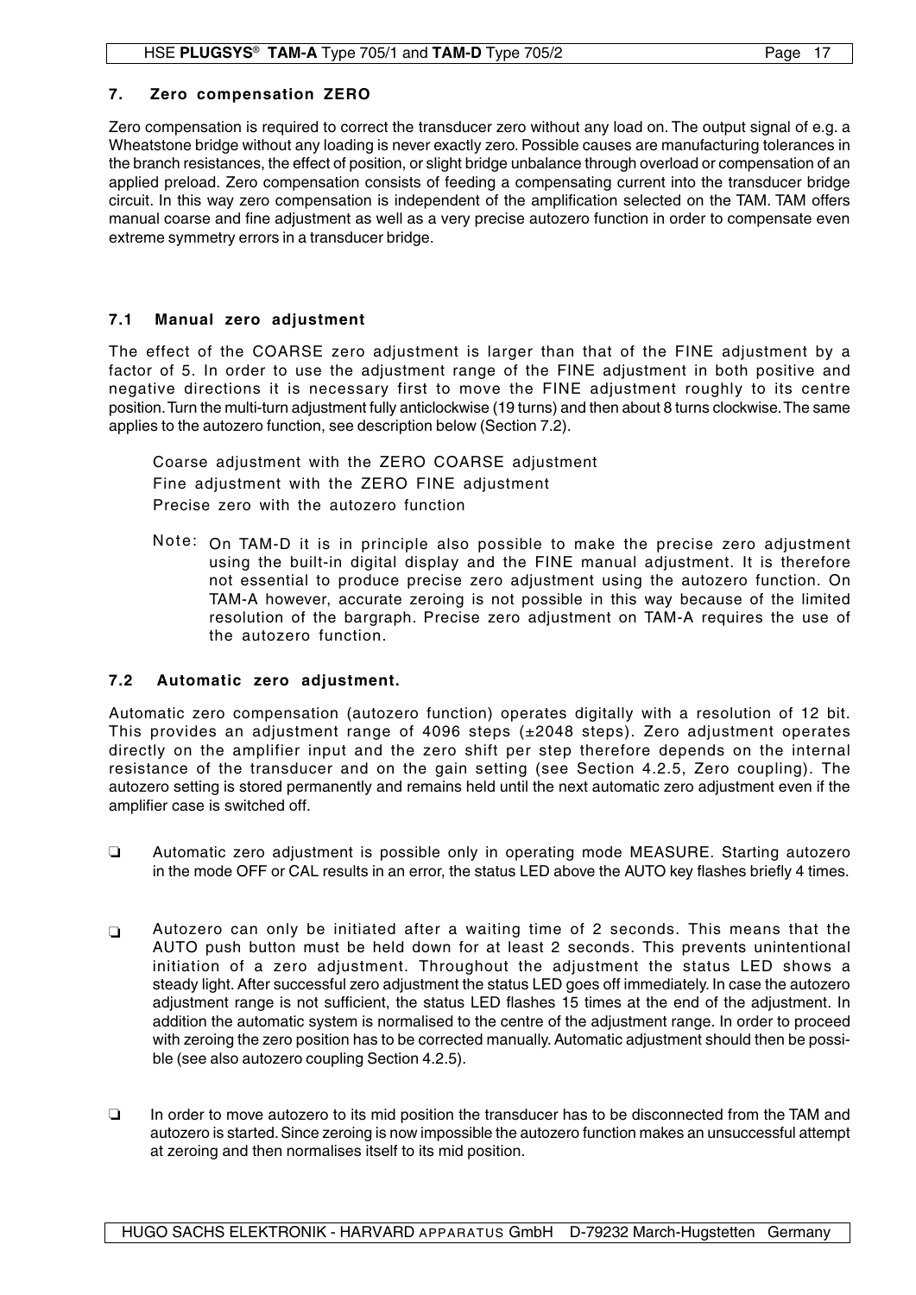## **7. Zero compensation ZERO**

Zero compensation is required to correct the transducer zero without any load on. The output signal of e.g. a Wheatstone bridge without any loading is never exactly zero. Possible causes are manufacturing tolerances in the branch resistances, the effect of position, or slight bridge unbalance through overload or compensation of an applied preload. Zero compensation consists of feeding a compensating current into the transducer bridge circuit. In this way zero compensation is independent of the amplification selected on the TAM. TAM offers manual coarse and fine adjustment as well as a very precise autozero function in order to compensate even extreme symmetry errors in a transducer bridge.

## **7.1 Manual zero adjustment**

The effect of the COARSE zero adjustment is larger than that of the FINE adjustment by a factor of 5. In order to use the adjustment range of the FINE adjustment in both positive and negative directions it is necessary first to move the FINE adjustment roughly to its centre position. Turn the multi-turn adjustment fully anticlockwise (19 turns) and then about 8 turns clockwise. The same applies to the autozero function, see description below (Section 7.2).

Coarse adjustment with the ZERO COARSE adjustment Fine adjustment with the ZERO FINE adjustment Precise zero with the autozero function

Note: On TAM-D it is in principle also possible to make the precise zero adjustment using the built-in digital display and the FINE manual adjustment. It is therefore not essential to produce precise zero adjustment using the autozero function. On TAM-A however, accurate zeroing is not possible in this way because of the limited resolution of the bargraph. Precise zero adjustment on TAM-A requires the use of the autozero function.

## **7.2 Automatic zero adjustment.**

Automatic zero compensation (autozero function) operates digitally with a resolution of 12 bit. This provides an adjustment range of 4096 steps (±2048 steps). Zero adjustment operates directly on the amplifier input and the zero shift per step therefore depends on the internal resistance of the transducer and on the gain setting (see Section 4.2.5, Zero coupling). The autozero setting is stored permanently and remains held until the next automatic zero adjustment even if the amplifier case is switched off.

- Automatic zero adjustment is possible only in operating mode MEASURE. Starting autozero in the mode OFF or CAL results in an error, the status LED above the AUTO key flashes briefly 4 times.  $\Box$
- Autozero can only be initiated after a waiting time of 2 seconds. This means that the AUTO push button must be held down for at least 2 seconds. This prevents unintentional initiation of a zero adjustment. Throughout the adjustment the status LED shows a steady light. After successful zero adjustment the status LED goes off immediately. In case the autozero adjustment range is not sufficient, the status LED flashes 15 times at the end of the adjustment. In addition the automatic system is normalised to the centre of the adjustment range. In order to proceed with zeroing the zero position has to be corrected manually. Automatic adjustment should then be possible (see also autozero coupling Section 4.2.5).  $\Box$
- In order to move autozero to its mid position the transducer has to be disconnected from the TAM and autozero is started. Since zeroing is now impossible the autozero function makes an unsuccessful attempt at zeroing and then normalises itself to its mid position.  $\Box$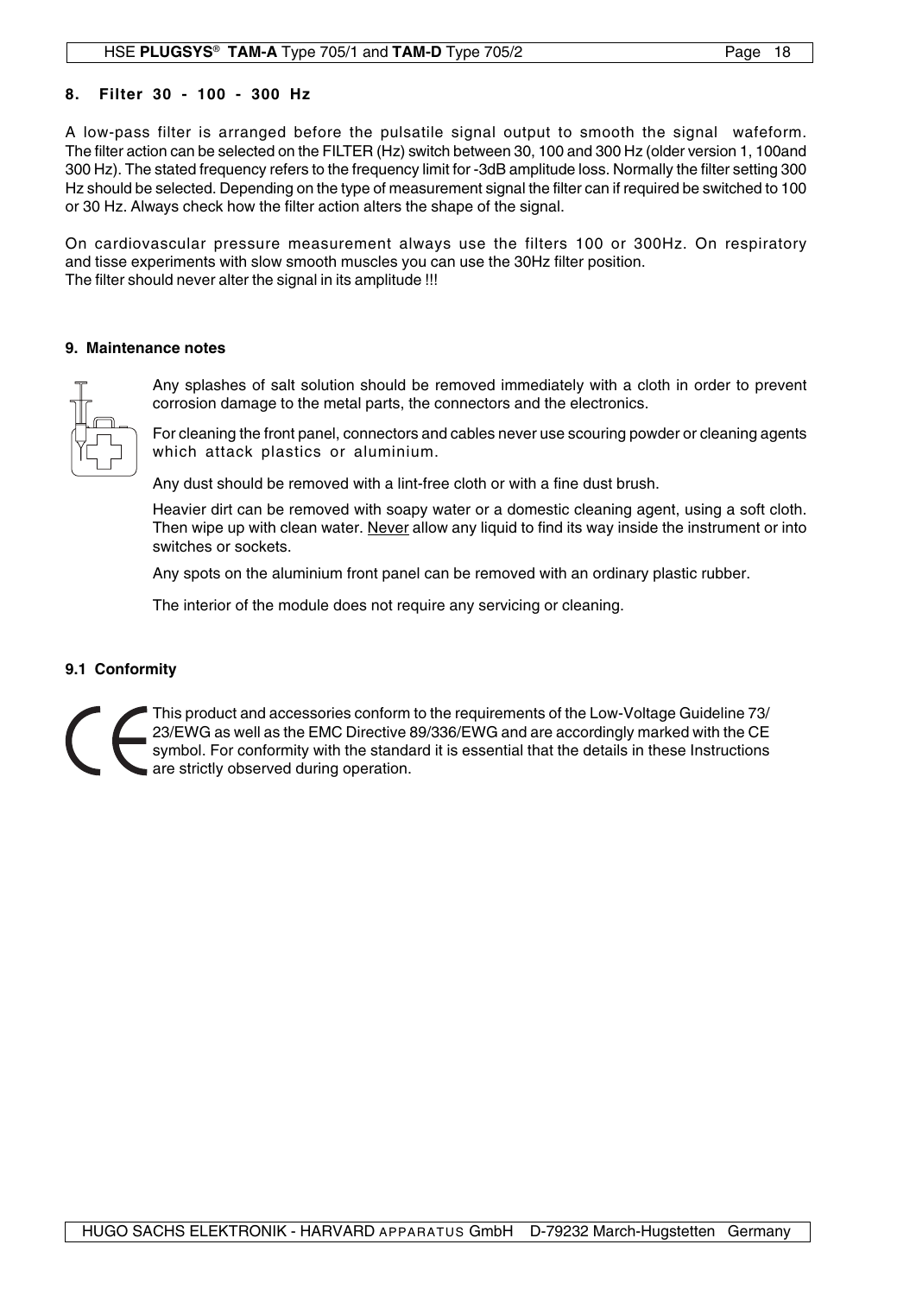## **8. Filter 30 - 100 - 300 Hz**

A low-pass filter is arranged before the pulsatile signal output to smooth the signal wafeform. The filter action can be selected on the FILTER (Hz) switch between 30, 100 and 300 Hz (older version 1, 100and 300 Hz). The stated frequency refers to the frequency limit for -3dB amplitude loss. Normally the filter setting 300 Hz should be selected. Depending on the type of measurement signal the filter can if required be switched to 100 or 30 Hz. Always check how the filter action alters the shape of the signal.

On cardiovascular pressure measurement always use the filters 100 or 300Hz. On respiratory and tisse experiments with slow smooth muscles you can use the 30Hz filter position. The filter should never alter the signal in its amplitude !!!

#### **9. Maintenance notes**



Any splashes of salt solution should be removed immediately with a cloth in order to prevent corrosion damage to the metal parts, the connectors and the electronics.

For cleaning the front panel, connectors and cables never use scouring powder or cleaning agents which attack plastics or aluminium.

Any dust should be removed with a lint-free cloth or with a fine dust brush.

Heavier dirt can be removed with soapy water or a domestic cleaning agent, using a soft cloth. Then wipe up with clean water. Never allow any liquid to find its way inside the instrument or into switches or sockets.

Any spots on the aluminium front panel can be removed with an ordinary plastic rubber.

The interior of the module does not require any servicing or cleaning.

## **9.1 Conformity**

This product and accessories conform to the requirements of the Low-Voltage Guideline 73/ 23/EWG as well as the EMC Directive 89/336/EWG and are accordingly marked with the CE symbol. For conformity with the standard it is essential that the details in these Instructions are strictly observed during operation.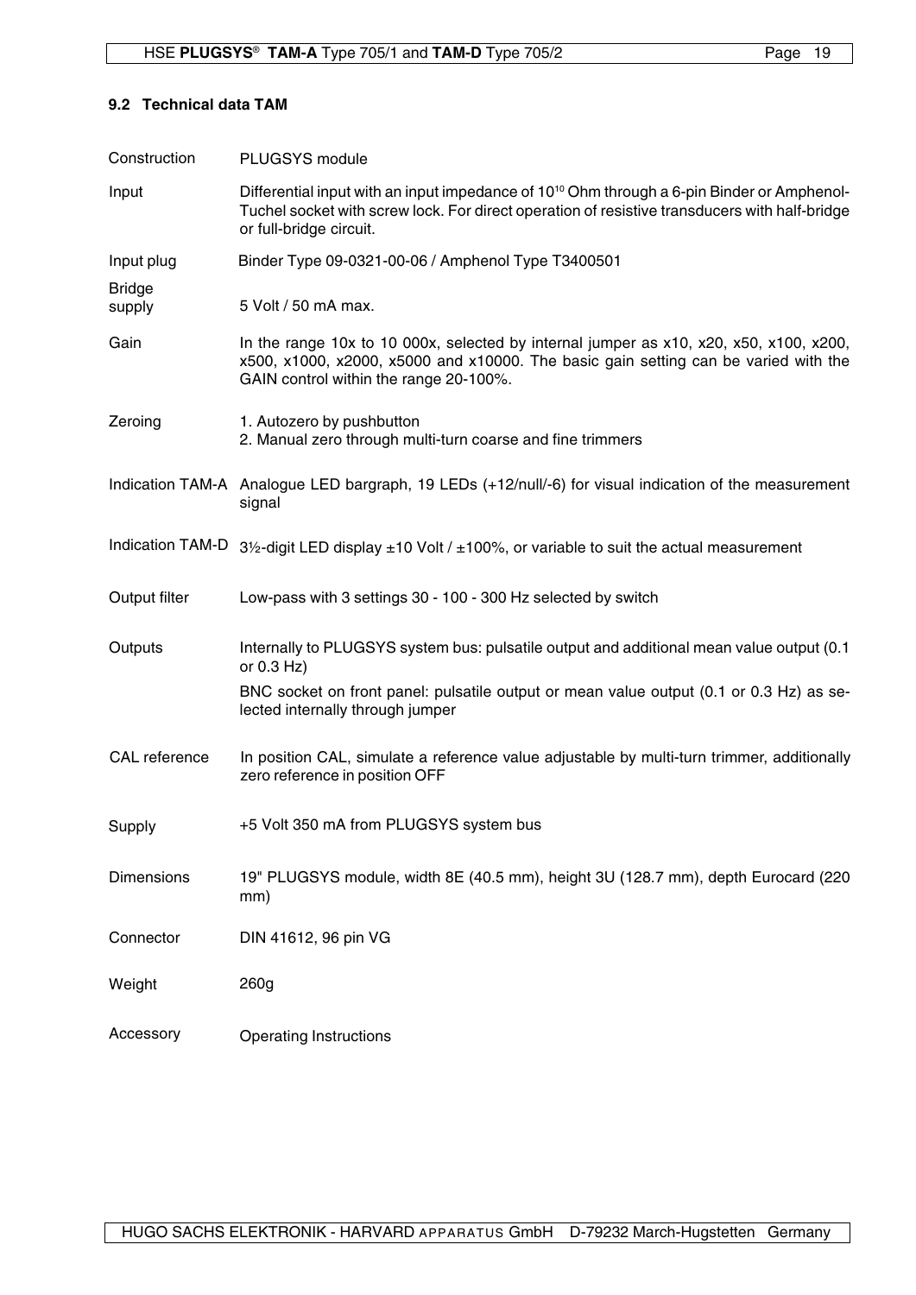#### **9.2 Technical data TAM**

| Construction            | PLUGSYS module                                                                                                                                                                                                                         |
|-------------------------|----------------------------------------------------------------------------------------------------------------------------------------------------------------------------------------------------------------------------------------|
| Input                   | Differential input with an input impedance of 10 <sup>10</sup> Ohm through a 6-pin Binder or Amphenol-<br>Tuchel socket with screw lock. For direct operation of resistive transducers with half-bridge<br>or full-bridge circuit.     |
| Input plug              | Binder Type 09-0321-00-06 / Amphenol Type T3400501                                                                                                                                                                                     |
| <b>Bridge</b><br>supply | 5 Volt / 50 mA max.                                                                                                                                                                                                                    |
| Gain                    | In the range 10x to 10 000x, selected by internal jumper as $x10$ , $x20$ , $x50$ , $x100$ , $x200$ ,<br>x500, x1000, x2000, x5000 and x10000. The basic gain setting can be varied with the<br>GAIN control within the range 20-100%. |
| Zeroing                 | 1. Autozero by pushbutton<br>2. Manual zero through multi-turn coarse and fine trimmers                                                                                                                                                |
|                         | Indication TAM-A Analogue LED bargraph, 19 LEDs (+12/null/-6) for visual indication of the measurement<br>signal                                                                                                                       |
|                         | Indication TAM-D $3\frac{1}{2}$ -digit LED display $\pm 10$ Volt / $\pm 100\%$ , or variable to suit the actual measurement                                                                                                            |
| Output filter           | Low-pass with 3 settings 30 - 100 - 300 Hz selected by switch                                                                                                                                                                          |
| Outputs                 | Internally to PLUGSYS system bus: pulsatile output and additional mean value output (0.1<br>or $0.3$ Hz)                                                                                                                               |
|                         | BNC socket on front panel: pulsatile output or mean value output (0.1 or 0.3 Hz) as se-<br>lected internally through jumper                                                                                                            |
| CAL reference           | In position CAL, simulate a reference value adjustable by multi-turn trimmer, additionally<br>zero reference in position OFF                                                                                                           |
| Supply                  | +5 Volt 350 mA from PLUGSYS system bus                                                                                                                                                                                                 |
| Dimensions              | 19" PLUGSYS module, width 8E (40.5 mm), height 3U (128.7 mm), depth Eurocard (220<br>mm)                                                                                                                                               |
| Connector               | DIN 41612, 96 pin VG                                                                                                                                                                                                                   |
| Weight                  | 260g                                                                                                                                                                                                                                   |
| Accessory               | <b>Operating Instructions</b>                                                                                                                                                                                                          |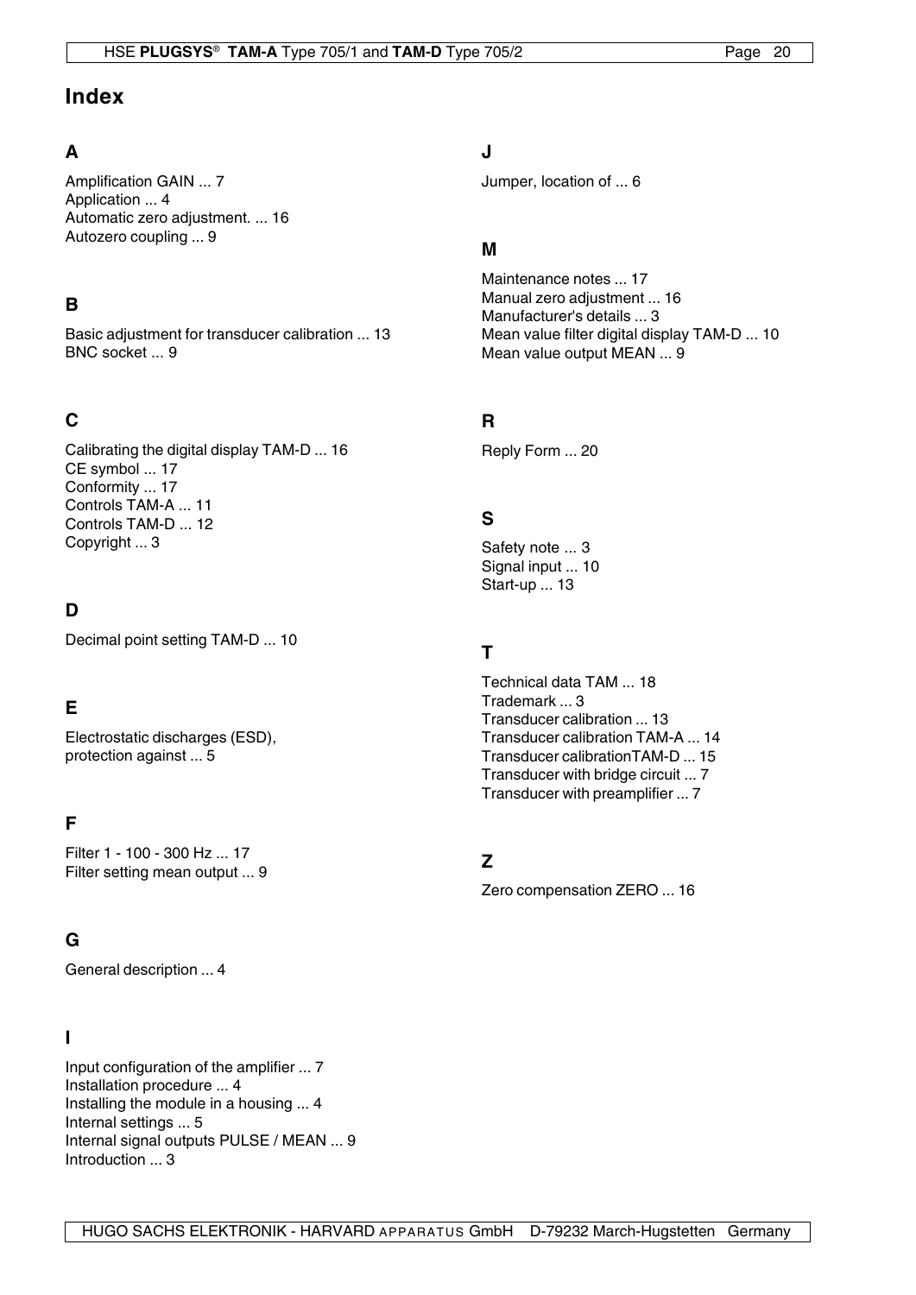# **Index**

## **A**

Amplification GAIN ... 7 Application ... 4 Automatic zero adjustment. ... 16 Autozero coupling ... 9

# **B**

Basic adjustment for transducer calibration ... 13 BNC socket ... 9

# **C**

Calibrating the digital display TAM-D ... 16 CE symbol ... 17 Conformity ... 17 Controls TAM-A ... 11 Controls TAM-D ... 12 Copyright ... 3

# **D**

Decimal point setting TAM-D ... 10

# **E**

Electrostatic discharges (ESD), protection against ... 5

# **F**

Filter 1 - 100 - 300 Hz ... 17 Filter setting mean output ... 9

# **G**

General description ... 4

## **I**

Input configuration of the amplifier ... 7 Installation procedure ... 4 Installing the module in a housing ... 4 Internal settings ... 5 Internal signal outputs PULSE / MEAN ... 9 Introduction ... 3

# **J**

Jumper, location of ... 6

## **M**

Maintenance notes ... 17 Manual zero adjustment ... 16 Manufacturer's details ... 3 Mean value filter digital display TAM-D ... 10 Mean value output MEAN ... 9

# **R**

Reply Form ... 20

# **S**

Safety note ... 3 Signal input ... 10 Start-up ... 13

## **T**

Technical data TAM ... 18 Trademark ... 3 Transducer calibration ... 13 Transducer calibration TAM-A ... 14 Transducer calibrationTAM-D ... 15 Transducer with bridge circuit ... 7 Transducer with preamplifier ... 7

# **Z**

Zero compensation ZERO ... 16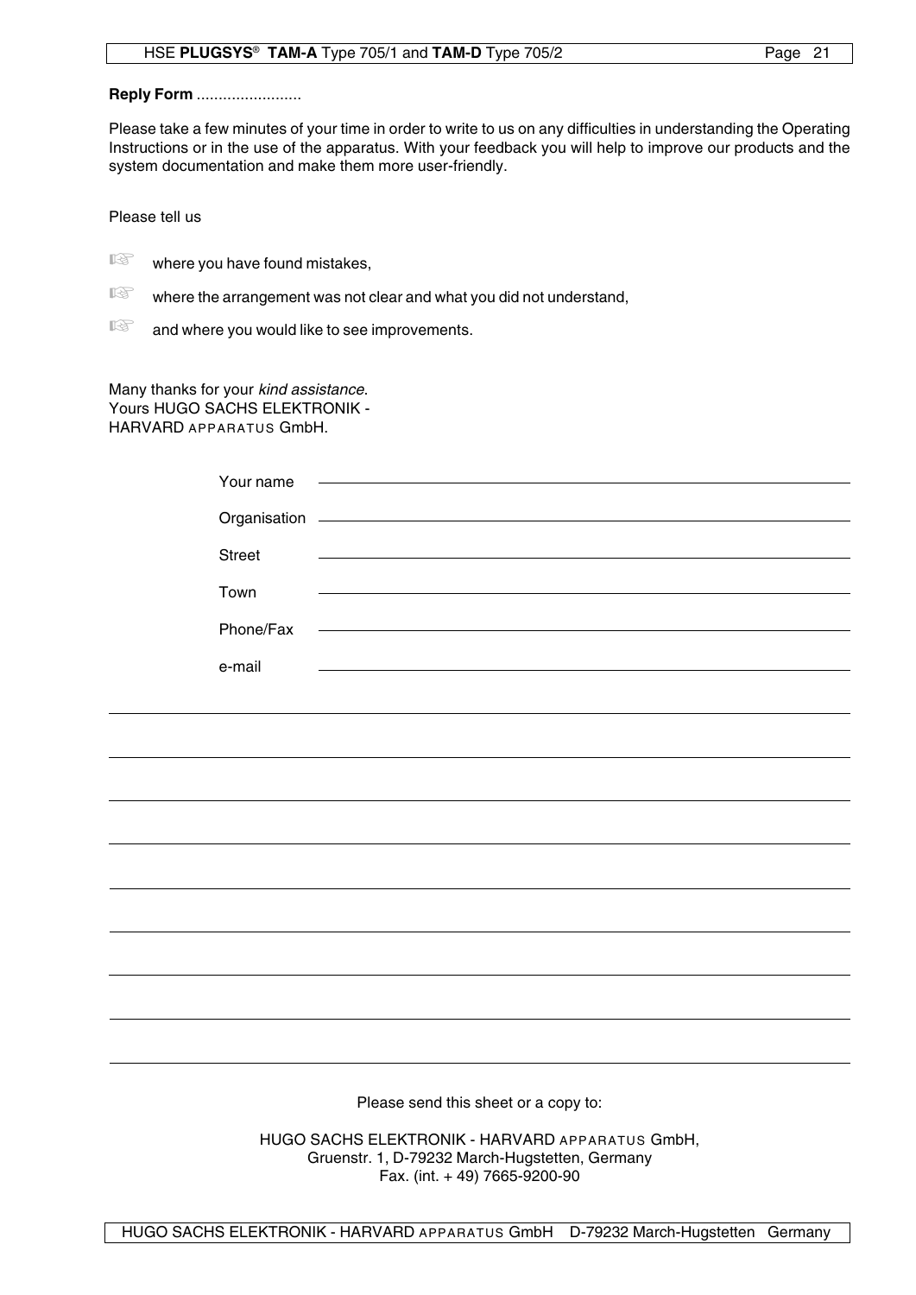## **Reply Form .......................**

Please take a few minutes of your time in order to write to us on any difficulties in understanding the Operating Instructions or in the use of the apparatus. With your feedback you will help to improve our products and the system documentation and make them more user-friendly.

Please tell us

- $\mathbb{R}$  where you have found mistakes,
- $\mathbb{R}$  where the arrangement was not clear and what you did not understand,

 $\mathbb{R}$  and where you would like to see improvements.

Many thanks for your kind assistance. Yours HUGO SACHS ELEKTRONIK -HARVARD APPARATUS GmbH.

|                                                | Your name     | the control of the control of the control of the control of the control of the control of                                                                                                                                     |  |
|------------------------------------------------|---------------|-------------------------------------------------------------------------------------------------------------------------------------------------------------------------------------------------------------------------------|--|
|                                                |               | Organisation - Contract of Contract of Contract of Contract of Contract of Contract of Contract of Contract of                                                                                                                |  |
|                                                | <b>Street</b> | <u> 1989 - Johann Stein, mars an deus Amerikaansk kommunister (* 1958)</u>                                                                                                                                                    |  |
|                                                | Town          | <u> 1980 - Andrea Station, amerikansk politik (* 1950)</u>                                                                                                                                                                    |  |
|                                                | Phone/Fax     | <u> 1989 - Johann Stein, marwolaethau a bhann an t-Amhair Aonaichte ann an t-Amhair Aonaichte ann an t-Amhair Aon</u>                                                                                                         |  |
|                                                |               |                                                                                                                                                                                                                               |  |
|                                                | e-mail        | the control of the control of the control of the control of the control of the control of the control of the control of the control of the control of the control of the control of the control of the control of the control |  |
|                                                |               |                                                                                                                                                                                                                               |  |
|                                                |               |                                                                                                                                                                                                                               |  |
|                                                |               |                                                                                                                                                                                                                               |  |
|                                                |               |                                                                                                                                                                                                                               |  |
|                                                |               |                                                                                                                                                                                                                               |  |
|                                                |               |                                                                                                                                                                                                                               |  |
|                                                |               |                                                                                                                                                                                                                               |  |
|                                                |               |                                                                                                                                                                                                                               |  |
|                                                |               |                                                                                                                                                                                                                               |  |
|                                                |               |                                                                                                                                                                                                                               |  |
|                                                |               |                                                                                                                                                                                                                               |  |
|                                                |               |                                                                                                                                                                                                                               |  |
| Please send this sheet or a copy to:           |               |                                                                                                                                                                                                                               |  |
| HIICO CACHO ELEKTRONIIK HADVARD ARRABATUS CMNH |               |                                                                                                                                                                                                                               |  |

HUGO SACHS ELEKTRONIK - HARVARD APPARATUS GmbH, Gruenstr. 1, D-79232 March-Hugstetten, Germany Fax. (int. + 49) 7665-9200-90

HUGO SACHS ELEKTRONIK - HARVARD APPARATUS GmbH D-79232 March-Hugstetten Germany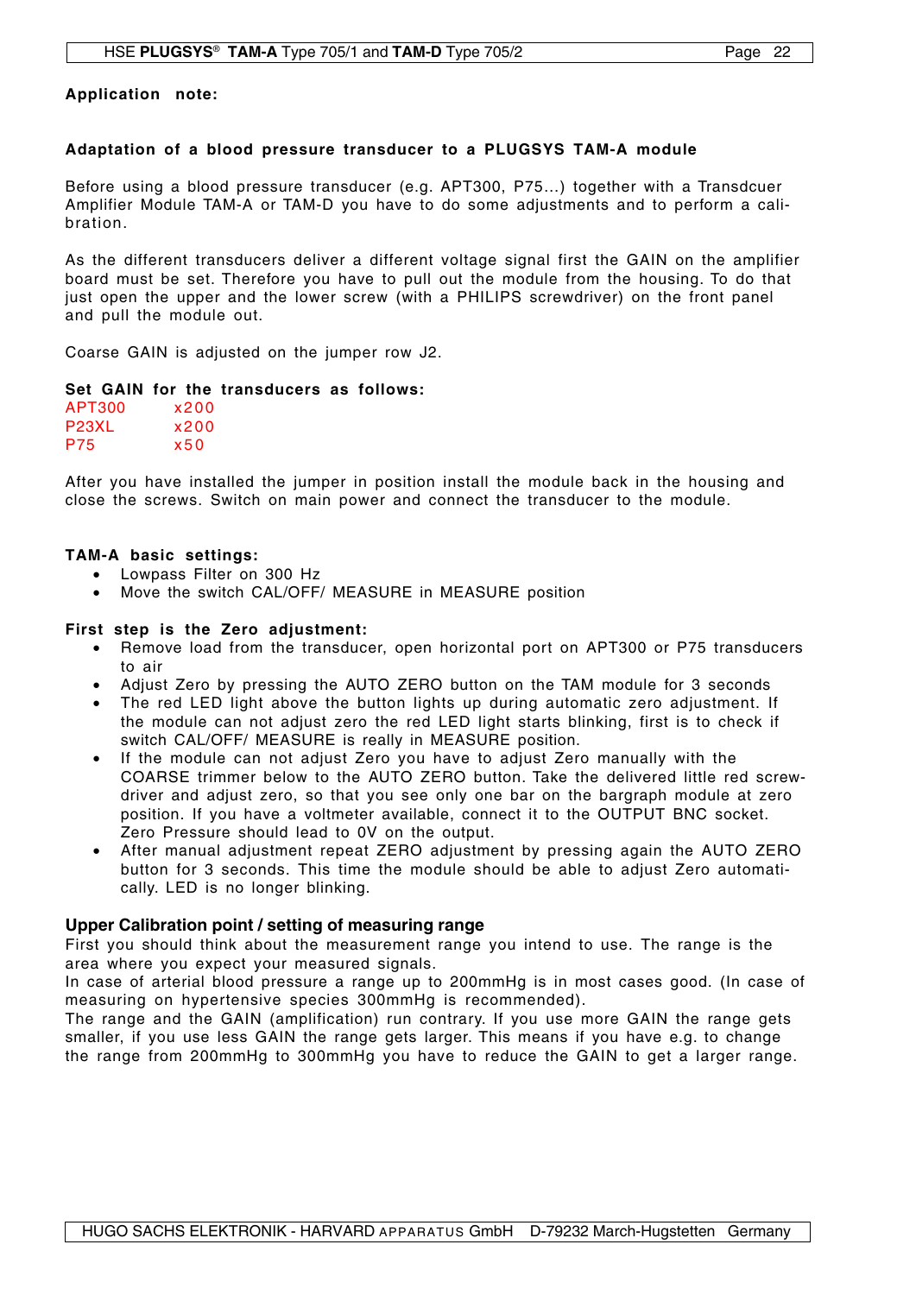**Application note:**

#### **Adaptation of a blood pressure transducer to a PLUGSYS TAM-A module**

Before using a blood pressure transducer (e.g. APT300, P75…) together with a Transdcuer Amplifier Module TAM-A or TAM-D you have to do some adjustments and to perform a calibration.

As the different transducers deliver a different voltage signal first the GAIN on the amplifier board must be set. Therefore you have to pull out the module from the housing. To do that just open the upper and the lower screw (with a PHILIPS screwdriver) on the front panel and pull the module out.

Coarse GAIN is adjusted on the jumper row J2.

#### **Set GAIN for the transducers as follows:**

| APT300             | x200 |
|--------------------|------|
| P <sub>23</sub> XL | x200 |
| P75                | x50  |

After you have installed the jumper in position install the module back in the housing and close the screws. Switch on main power and connect the transducer to the module.

#### **TAM-A basic settings:**

- Lowpass Filter on 300 Hz
- Move the switch CAL/OFF/ MEASURE in MEASURE position

#### **First step is the Zero adjustment:**

- Remove load from the transducer, open horizontal port on APT300 or P75 transducers to air
- Adjust Zero by pressing the AUTO ZERO button on the TAM module for 3 seconds
- The red LED light above the button lights up during automatic zero adjustment. If the module can not adjust zero the red LED light starts blinking, first is to check if switch CAL/OFF/ MEASURE is really in MEASURE position.
- If the module can not adjust Zero you have to adjust Zero manually with the COARSE trimmer below to the AUTO ZERO button. Take the delivered little red screwdriver and adjust zero, so that you see only one bar on the bargraph module at zero position. If you have a voltmeter available, connect it to the OUTPUT BNC socket. Zero Pressure should lead to 0V on the output.
- After manual adjustment repeat ZERO adjustment by pressing again the AUTO ZERO button for 3 seconds. This time the module should be able to adjust Zero automatically. LED is no longer blinking.

## **Upper Calibration point / setting of measuring range**

First you should think about the measurement range you intend to use. The range is the area where you expect your measured signals.

In case of arterial blood pressure a range up to 200mmHg is in most cases good. (In case of measuring on hypertensive species 300mmHg is recommended).

The range and the GAIN (amplification) run contrary. If you use more GAIN the range gets smaller, if you use less GAIN the range gets larger. This means if you have e.g. to change the range from 200mmHg to 300mmHg you have to reduce the GAIN to get a larger range.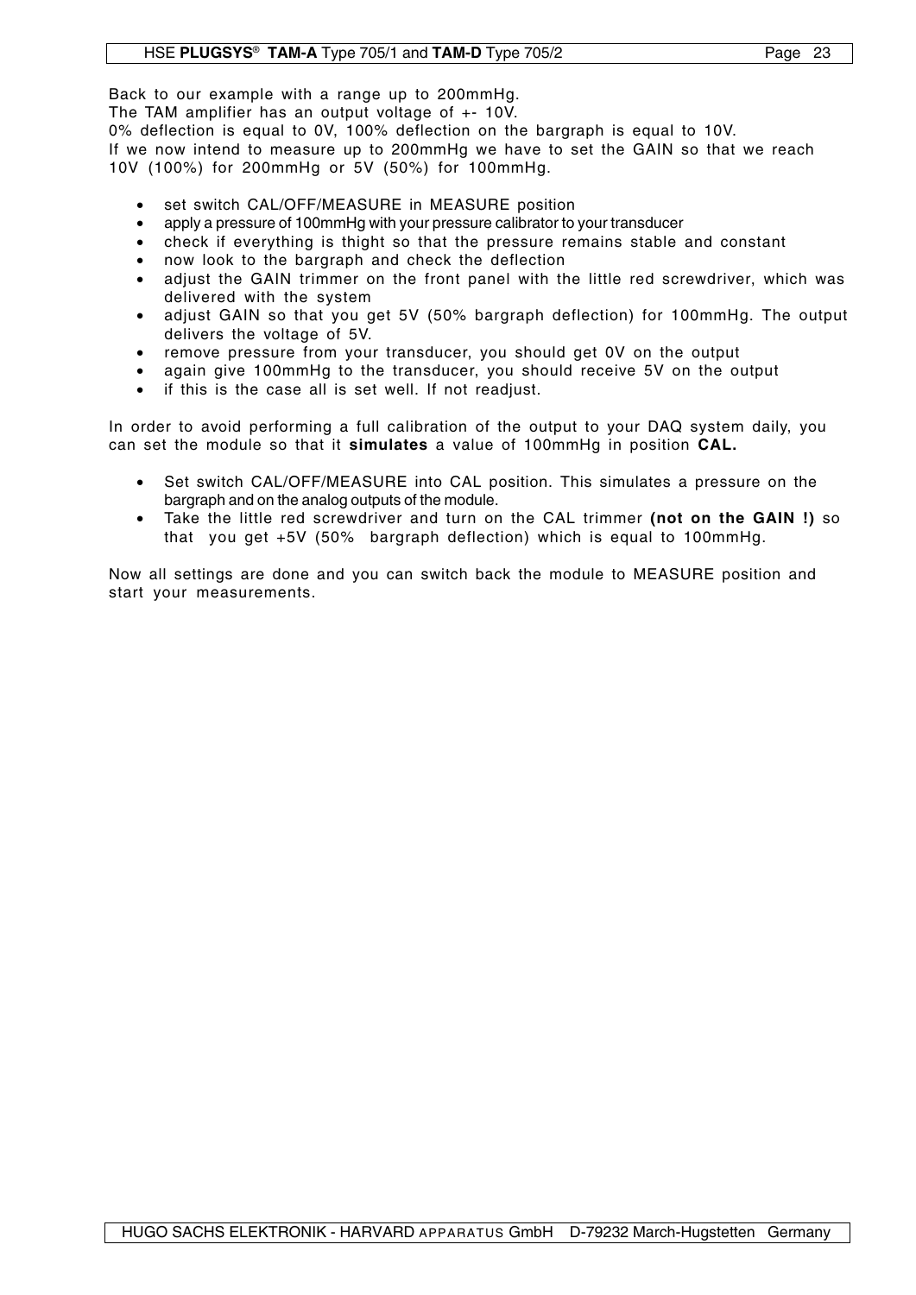Back to our example with a range up to 200mmHg.

The TAM amplifier has an output voltage of +- 10V.

0% deflection is equal to 0V, 100% deflection on the bargraph is equal to 10V. If we now intend to measure up to 200mmHg we have to set the GAIN so that we reach 10V (100%) for 200mmHg or 5V (50%) for 100mmHg.

- set switch CAL/OFF/MEASURE in MEASURE position
- apply a pressure of 100mmHg with your pressure calibrator to your transducer
- check if everything is thight so that the pressure remains stable and constant
- now look to the bargraph and check the deflection
- adjust the GAIN trimmer on the front panel with the little red screwdriver, which was delivered with the system
- adjust GAIN so that you get 5V (50% bargraph deflection) for 100mmHg. The output delivers the voltage of 5V.
- remove pressure from your transducer, you should get 0V on the output
- again give 100mmHg to the transducer, you should receive 5V on the output
- if this is the case all is set well. If not readjust.

In order to avoid performing a full calibration of the output to your DAQ system daily, you can set the module so that it **simulates** a value of 100mmHg in position **CAL.**

- Set switch CAL/OFF/MEASURE into CAL position. This simulates a pressure on the bargraph and on the analog outputs of the module.
- Take the little red screwdriver and turn on the CAL trimmer **(not on the GAIN !)** so that you get +5V (50% bargraph deflection) which is equal to 100mmHg.

Now all settings are done and you can switch back the module to MEASURE position and start your measurements.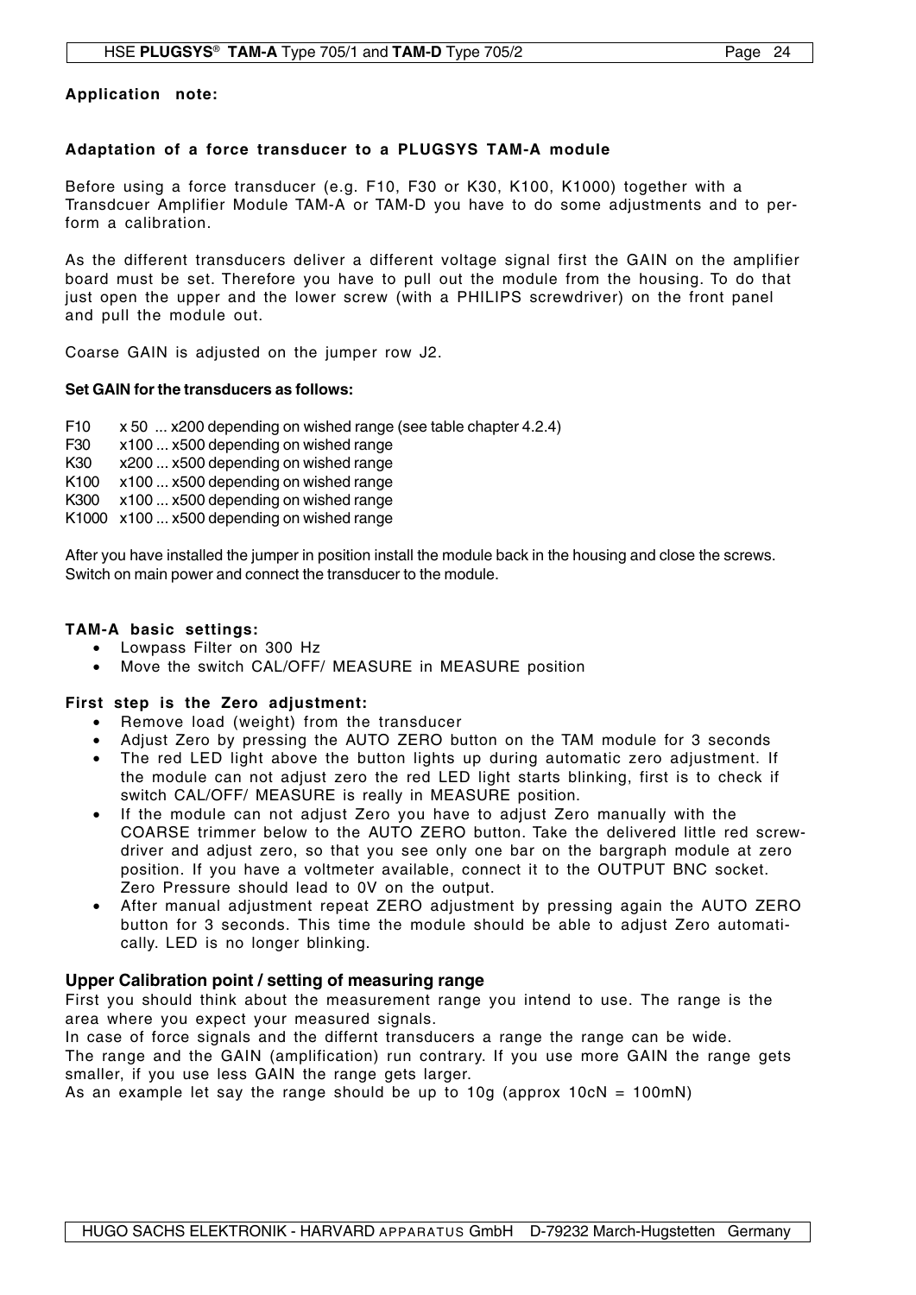#### **Application note:**

## **Adaptation of a force transducer to a PLUGSYS TAM-A module**

Before using a force transducer (e.g. F10, F30 or K30, K100, K1000) together with a Transdcuer Amplifier Module TAM-A or TAM-D you have to do some adjustments and to perform a calibration.

As the different transducers deliver a different voltage signal first the GAIN on the amplifier board must be set. Therefore you have to pull out the module from the housing. To do that just open the upper and the lower screw (with a PHILIPS screwdriver) on the front panel and pull the module out.

Coarse GAIN is adjusted on the jumper row J2.

#### **Set GAIN for the transducers as follows:**

F10 x 50 ... x200 depending on wished range (see table chapter 4.2.4)

F30 x100 ... x500 depending on wished range

K30 x200 ... x500 depending on wished range

K100 x100 ... x500 depending on wished range

K300 x100 ... x500 depending on wished range

K1000 x100 ... x500 depending on wished range

After you have installed the jumper in position install the module back in the housing and close the screws. Switch on main power and connect the transducer to the module.

#### **TAM-A basic settings:**

- Lowpass Filter on 300 Hz
- Move the switch CAL/OFF/ MEASURE in MEASURE position

## **First step is the Zero adjustment:**

- Remove load (weight) from the transducer
- Adjust Zero by pressing the AUTO ZERO button on the TAM module for 3 seconds
- The red LED light above the button lights up during automatic zero adjustment. If the module can not adjust zero the red LED light starts blinking, first is to check if switch CAL/OFF/ MEASURE is really in MEASURE position.
- If the module can not adjust Zero you have to adjust Zero manually with the COARSE trimmer below to the AUTO ZERO button. Take the delivered little red screwdriver and adjust zero, so that you see only one bar on the bargraph module at zero position. If you have a voltmeter available, connect it to the OUTPUT BNC socket. Zero Pressure should lead to 0V on the output.
- After manual adjustment repeat ZERO adjustment by pressing again the AUTO ZERO button for 3 seconds. This time the module should be able to adjust Zero automatically. LED is no longer blinking.

## **Upper Calibration point / setting of measuring range**

First you should think about the measurement range you intend to use. The range is the area where you expect your measured signals.

In case of force signals and the differnt transducers a range the range can be wide. The range and the GAIN (amplification) run contrary. If you use more GAIN the range gets smaller, if you use less GAIN the range gets larger.

As an example let say the range should be up to 10g (approx 10cN = 100mN)